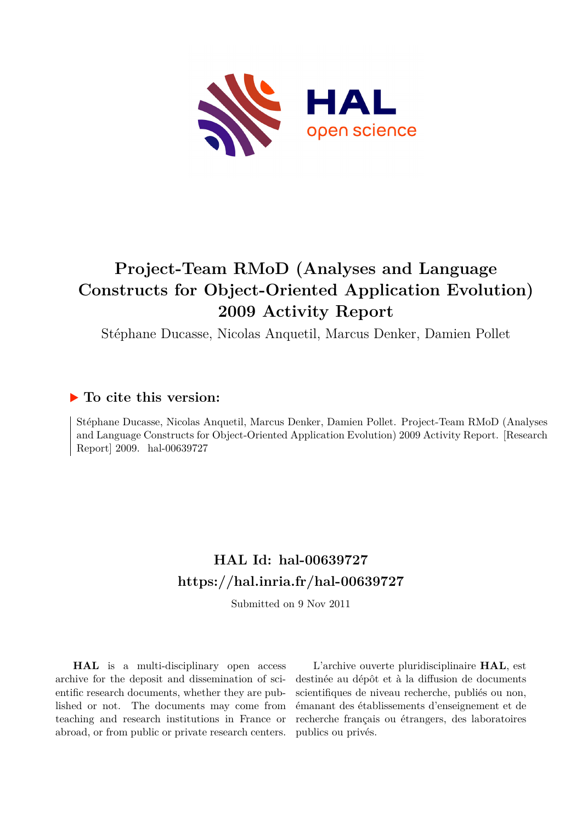

# **Project-Team RMoD (Analyses and Language Constructs for Object-Oriented Application Evolution) 2009 Activity Report**

Stéphane Ducasse, Nicolas Anquetil, Marcus Denker, Damien Pollet

# **To cite this version:**

Stéphane Ducasse, Nicolas Anquetil, Marcus Denker, Damien Pollet. Project-Team RMoD (Analyses and Language Constructs for Object-Oriented Application Evolution) 2009 Activity Report. [Research Report] 2009. hal-00639727

# **HAL Id: hal-00639727 <https://hal.inria.fr/hal-00639727>**

Submitted on 9 Nov 2011

**HAL** is a multi-disciplinary open access archive for the deposit and dissemination of scientific research documents, whether they are published or not. The documents may come from teaching and research institutions in France or abroad, or from public or private research centers.

L'archive ouverte pluridisciplinaire **HAL**, est destinée au dépôt et à la diffusion de documents scientifiques de niveau recherche, publiés ou non, émanant des établissements d'enseignement et de recherche français ou étrangers, des laboratoires publics ou privés.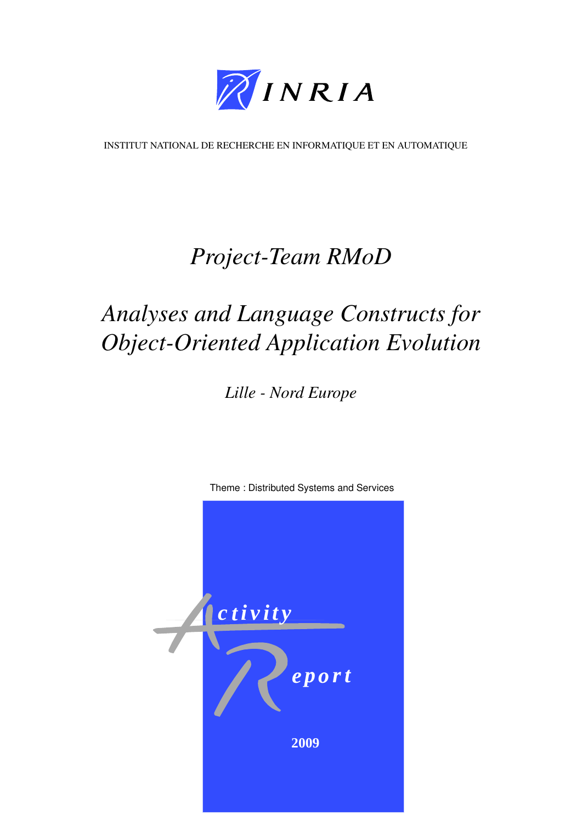

[INSTITUT NATIONAL DE RECHERCHE EN INFORMATIQUE ET EN AUTOMATIQUE](http://www.inria.fr)

# *[Project-Team RMoD](http://www.inria.fr/recherche/equipes/rmod.en.html)*

# *Analyses and Language Constructs for Object-Oriented Application Evolution*

*[Lille - Nord Europe](http://www.inria.fr/inria/organigramme/fiche_ur-lille.fr.html)*



Theme : Distributed Systems and Services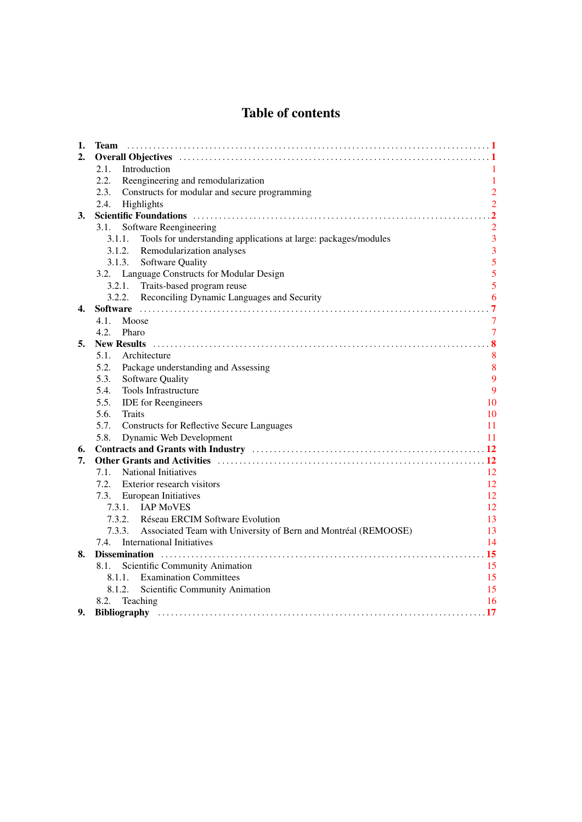# Table of contents

| 1. | <b>Team</b>                                                                                                                                                                                                                    |                         |
|----|--------------------------------------------------------------------------------------------------------------------------------------------------------------------------------------------------------------------------------|-------------------------|
| 2. | Overall Objectives (and according to the control of the control of the control of the control of the control of the control of the control of the control of the control of the control of the control of the control of the c |                         |
|    | 2.1.<br>Introduction                                                                                                                                                                                                           | 1                       |
|    | 2.2.<br>Reengineering and remodularization                                                                                                                                                                                     | 1                       |
|    | Constructs for modular and secure programming<br>2.3.                                                                                                                                                                          | $\overline{2}$          |
|    | 2.4.<br>Highlights                                                                                                                                                                                                             | $\overline{2}$          |
| 3. |                                                                                                                                                                                                                                | $\overline{2}$          |
|    | 3.1.<br>Software Reengineering                                                                                                                                                                                                 | $\overline{2}$          |
|    | Tools for understanding applications at large: packages/modules<br>3.1.1.                                                                                                                                                      | $\overline{\mathbf{3}}$ |
|    | 3.1.2. Remodularization analyses                                                                                                                                                                                               | $\overline{\mathbf{3}}$ |
|    | 3.1.3. Software Quality                                                                                                                                                                                                        | 5                       |
|    | 3.2. Language Constructs for Modular Design                                                                                                                                                                                    | 5                       |
|    | 3.2.1. Traits-based program reuse                                                                                                                                                                                              | 5                       |
|    | Reconciling Dynamic Languages and Security<br>3.2.2.                                                                                                                                                                           | 6                       |
| 4. |                                                                                                                                                                                                                                |                         |
|    | 4.1.<br>Moose                                                                                                                                                                                                                  | $\overline{7}$          |
|    | 4.2.<br>Pharo                                                                                                                                                                                                                  | $\overline{7}$          |
| 5. |                                                                                                                                                                                                                                | 8                       |
|    | 5.1.<br>Architecture                                                                                                                                                                                                           | 8                       |
|    | 5.2.<br>Package understanding and Assessing                                                                                                                                                                                    | 8                       |
|    | Software Quality<br>5.3.                                                                                                                                                                                                       | 9                       |
|    | Tools Infrastructure<br>5.4.                                                                                                                                                                                                   | 9                       |
|    | 5.5.<br><b>IDE</b> for Reengineers                                                                                                                                                                                             | 10                      |
|    | 5.6.<br><b>Traits</b>                                                                                                                                                                                                          | 10                      |
|    | 5.7.<br><b>Constructs for Reflective Secure Languages</b>                                                                                                                                                                      | 11                      |
|    | Dynamic Web Development<br>5.8.                                                                                                                                                                                                | 11                      |
| 6. |                                                                                                                                                                                                                                |                         |
| 7. |                                                                                                                                                                                                                                |                         |
|    | 7.1. National Initiatives                                                                                                                                                                                                      | 12                      |
|    | 7.2. Exterior research visitors                                                                                                                                                                                                | 12                      |
|    | 7.3. European Initiatives                                                                                                                                                                                                      | 12                      |
|    | 7.3.1. IAP MoVES                                                                                                                                                                                                               | 12                      |
|    | 7.3.2. Réseau ERCIM Software Evolution                                                                                                                                                                                         | 13                      |
|    | Associated Team with University of Bern and Montréal (REMOOSE)<br>7.3.3.                                                                                                                                                       | 13                      |
|    | 7.4.<br><b>International Initiatives</b>                                                                                                                                                                                       | 14                      |
| 8. |                                                                                                                                                                                                                                | 15                      |
|    | Scientific Community Animation<br>8.1.                                                                                                                                                                                         | 15                      |
|    | 8.1.1. Examination Committees                                                                                                                                                                                                  | 15                      |
|    | 8.1.2.<br>Scientific Community Animation                                                                                                                                                                                       | 15                      |
|    | Teaching<br>8.2.                                                                                                                                                                                                               | 16                      |
| 9. |                                                                                                                                                                                                                                | .17                     |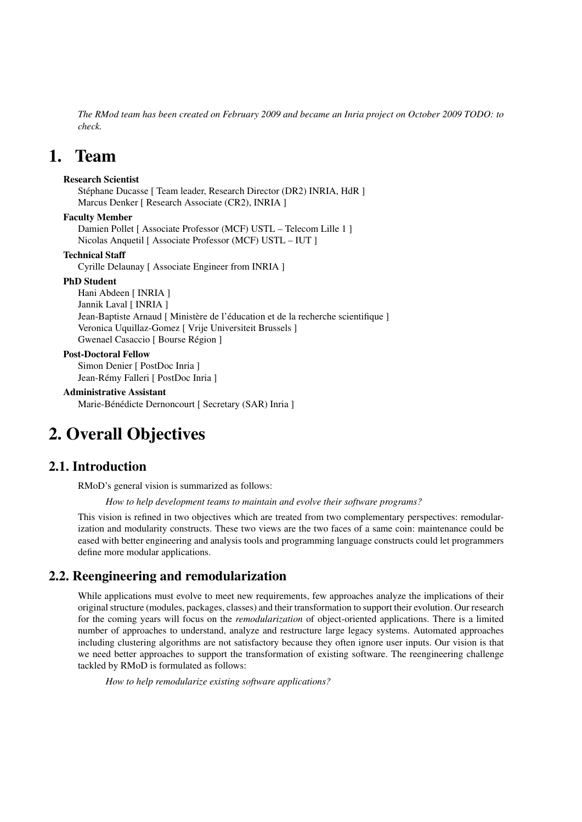*The RMod team has been created on February 2009 and became an Inria project on October 2009 TODO: to check.*

# <span id="page-5-0"></span>1. Team

#### Research Scientist

Stéphane Ducasse [ Team leader, Research Director (DR2) INRIA, HdR ] Marcus Denker [ Research Associate (CR2), INRIA ]

#### Faculty Member

Damien Pollet [ Associate Professor (MCF) USTL – Telecom Lille 1 ] Nicolas Anquetil [ Associate Professor (MCF) USTL – IUT ]

#### Technical Staff

Cyrille Delaunay [ Associate Engineer from INRIA ]

#### PhD Student

Hani Abdeen [ INRIA ] Jannik Laval [ INRIA ] Jean-Baptiste Arnaud [ Ministère de l'éducation et de la recherche scientifique ] Veronica Uquillaz-Gomez [ Vrije Universiteit Brussels ] Gwenael Casaccio [ Bourse Région ]

#### Post-Doctoral Fellow

Simon Denier [ PostDoc Inria ] Jean-Rémy Falleri [ PostDoc Inria ]

#### Administrative Assistant

<span id="page-5-1"></span>Marie-Bénédicte Dernoncourt [ Secretary (SAR) Inria ]

# 2. Overall Objectives

# 2.1. Introduction

<span id="page-5-2"></span>RMoD's general vision is summarized as follows:

*How to help development teams to maintain and evolve their software programs?*

This vision is refined in two objectives which are treated from two complementary perspectives: remodularization and modularity constructs. These two views are the two faces of a same coin: maintenance could be eased with better engineering and analysis tools and programming language constructs could let programmers define more modular applications.

# 2.2. Reengineering and remodularization

<span id="page-5-3"></span>While applications must evolve to meet new requirements, few approaches analyze the implications of their original structure (modules, packages, classes) and their transformation to support their evolution. Our research for the coming years will focus on the *remodularization* of object-oriented applications. There is a limited number of approaches to understand, analyze and restructure large legacy systems. Automated approaches including clustering algorithms are not satisfactory because they often ignore user inputs. Our vision is that we need better approaches to support the transformation of existing software. The reengineering challenge tackled by RMoD is formulated as follows:

*How to help remodularize existing software applications?*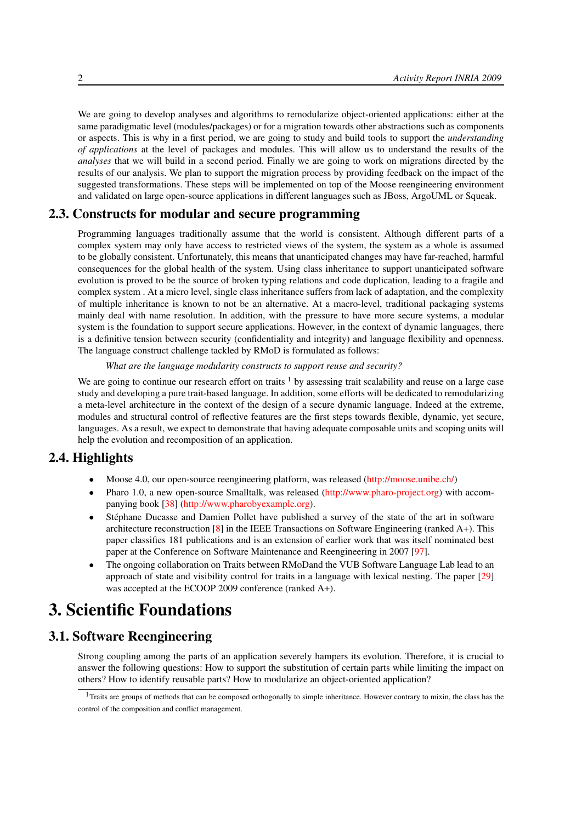We are going to develop analyses and algorithms to remodularize object-oriented applications: either at the same paradigmatic level (modules/packages) or for a migration towards other abstractions such as components or aspects. This is why in a first period, we are going to study and build tools to support the *understanding of applications* at the level of packages and modules. This will allow us to understand the results of the *analyses* that we will build in a second period. Finally we are going to work on migrations directed by the results of our analysis. We plan to support the migration process by providing feedback on the impact of the suggested transformations. These steps will be implemented on top of the Moose reengineering environment and validated on large open-source applications in different languages such as JBoss, ArgoUML or Squeak.

# 2.3. Constructs for modular and secure programming

<span id="page-6-0"></span>Programming languages traditionally assume that the world is consistent. Although different parts of a complex system may only have access to restricted views of the system, the system as a whole is assumed to be globally consistent. Unfortunately, this means that unanticipated changes may have far-reached, harmful consequences for the global health of the system. Using class inheritance to support unanticipated software evolution is proved to be the source of broken typing relations and code duplication, leading to a fragile and complex system . At a micro level, single class inheritance suffers from lack of adaptation, and the complexity of multiple inheritance is known to not be an alternative. At a macro-level, traditional packaging systems mainly deal with name resolution. In addition, with the pressure to have more secure systems, a modular system is the foundation to support secure applications. However, in the context of dynamic languages, there is a definitive tension between security (confidentiality and integrity) and language flexibility and openness. The language construct challenge tackled by RMoD is formulated as follows:

#### *What are the language modularity constructs to support reuse and security?*

We are going to continue our research effort on traits  $1$  by assessing trait scalability and reuse on a large case study and developing a pure trait-based language. In addition, some efforts will be dedicated to remodularizing a meta-level architecture in the context of the design of a secure dynamic language. Indeed at the extreme, modules and structural control of reflective features are the first steps towards flexible, dynamic, yet secure, languages. As a result, we expect to demonstrate that having adequate composable units and scoping units will help the evolution and recomposition of an application.

# 2.4. Highlights

- <span id="page-6-1"></span>• Moose 4.0, our open-source reengineering platform, was released [\(http://moose.unibe.ch/\)](http://moose.unibe.ch/)
- Pharo 1.0, a new open-source Smalltalk, was released [\(http://www.pharo-project.org\)](http://www.pharo-project.org) with accompanying book [\[38\]](#page-24-0) [\(http://www.pharobyexample.org\)](http://www.pharobyexample.org).
- Stéphane Ducasse and Damien Pollet have published a survey of the state of the art in software architecture reconstruction [\[8\]](#page-21-1) in the IEEE Transactions on Software Engineering (ranked A+). This paper classifies 181 publications and is an extension of earlier work that was itself nominated best paper at the Conference on Software Maintenance and Reengineering in 2007 [\[97\]](#page-28-0).
- The ongoing collaboration on Traits between RMoDand the VUB Software Language Lab lead to an approach of state and visibility control for traits in a language with lexical nesting. The paper [\[29\]](#page-23-0) was accepted at the ECOOP 2009 conference (ranked A+).

# <span id="page-6-2"></span>3. Scientific Foundations

# 3.1. Software Reengineering

<span id="page-6-3"></span>Strong coupling among the parts of an application severely hampers its evolution. Therefore, it is crucial to answer the following questions: How to support the substitution of certain parts while limiting the impact on others? How to identify reusable parts? How to modularize an object-oriented application?

<sup>&</sup>lt;sup>1</sup>Traits are groups of methods that can be composed orthogonally to simple inheritance. However contrary to mixin, the class has the control of the composition and conflict management.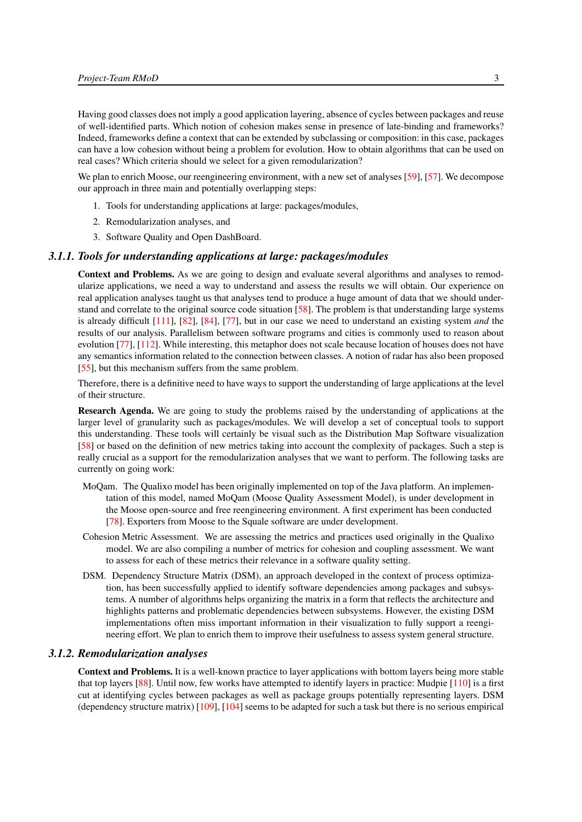Having good classes does not imply a good application layering, absence of cycles between packages and reuse of well-identified parts. Which notion of cohesion makes sense in presence of late-binding and frameworks? Indeed, frameworks define a context that can be extended by subclassing or composition: in this case, packages can have a low cohesion without being a problem for evolution. How to obtain algorithms that can be used on real cases? Which criteria should we select for a given remodularization?

We plan to enrich Moose, our reengineering environment, with a new set of analyses [\[59\]](#page-26-0), [\[57\]](#page-26-1). We decompose our approach in three main and potentially overlapping steps:

- 1. Tools for understanding applications at large: packages/modules,
- 2. Remodularization analyses, and
- <span id="page-7-0"></span>3. Software Quality and Open DashBoard.

#### *3.1.1. Tools for understanding applications at large: packages/modules*

Context and Problems. As we are going to design and evaluate several algorithms and analyses to remodularize applications, we need a way to understand and assess the results we will obtain. Our experience on real application analyses taught us that analyses tend to produce a huge amount of data that we should understand and correlate to the original source code situation [\[58\]](#page-26-2). The problem is that understanding large systems is already difficult [\[111\]](#page-30-0), [\[82\]](#page-27-0), [\[84\]](#page-28-1), [\[77\]](#page-27-1), but in our case we need to understand an existing system *and* the results of our analysis. Parallelism between software programs and cities is commonly used to reason about evolution [\[77\]](#page-27-1), [\[112\]](#page-30-1). While interesting, this metaphor does not scale because location of houses does not have any semantics information related to the connection between classes. A notion of radar has also been proposed [\[55\]](#page-26-3), but this mechanism suffers from the same problem.

Therefore, there is a definitive need to have ways to support the understanding of large applications at the level of their structure.

Research Agenda. We are going to study the problems raised by the understanding of applications at the larger level of granularity such as packages/modules. We will develop a set of conceptual tools to support this understanding. These tools will certainly be visual such as the Distribution Map Software visualization [\[58\]](#page-26-2) or based on the definition of new metrics taking into account the complexity of packages. Such a step is really crucial as a support for the remodularization analyses that we want to perform. The following tasks are currently on going work:

- MoQam. The Qualixo model has been originally implemented on top of the Java platform. An implementation of this model, named MoQam (Moose Quality Assessment Model), is under development in the Moose open-source and free reengineering environment. A first experiment has been conducted [\[78\]](#page-27-2). Exporters from Moose to the Squale software are under development.
- Cohesion Metric Assessment. We are assessing the metrics and practices used originally in the Qualixo model. We are also compiling a number of metrics for cohesion and coupling assessment. We want to assess for each of these metrics their relevance in a software quality setting.
- DSM. Dependency Structure Matrix (DSM), an approach developed in the context of process optimization, has been successfully applied to identify software dependencies among packages and subsystems. A number of algorithms helps organizing the matrix in a form that reflects the architecture and highlights patterns and problematic dependencies between subsystems. However, the existing DSM implementations often miss important information in their visualization to fully support a reengineering effort. We plan to enrich them to improve their usefulness to assess system general structure.

#### *3.1.2. Remodularization analyses*

<span id="page-7-1"></span>Context and Problems. It is a well-known practice to layer applications with bottom layers being more stable that top layers [\[88\]](#page-28-2). Until now, few works have attempted to identify layers in practice: Mudpie [\[110\]](#page-29-0) is a first cut at identifying cycles between packages as well as package groups potentially representing layers. DSM (dependency structure matrix) [\[109\]](#page-29-1), [\[104\]](#page-29-2) seems to be adapted for such a task but there is no serious empirical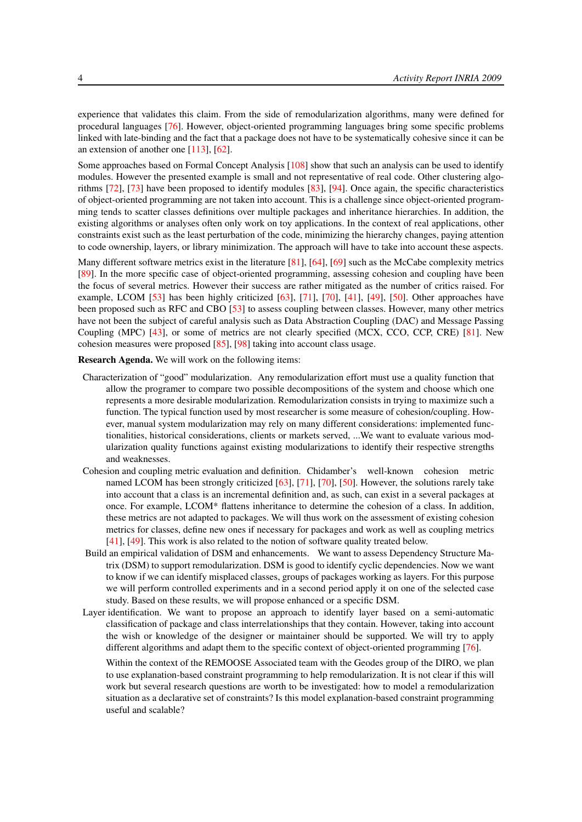experience that validates this claim. From the side of remodularization algorithms, many were defined for procedural languages [\[76\]](#page-27-3). However, object-oriented programming languages bring some specific problems linked with late-binding and the fact that a package does not have to be systematically cohesive since it can be an extension of another one [\[113\]](#page-30-2), [\[62\]](#page-26-4).

Some approaches based on Formal Concept Analysis [\[108\]](#page-29-3) show that such an analysis can be used to identify modules. However the presented example is small and not representative of real code. Other clustering algorithms [\[72\]](#page-27-4), [\[73\]](#page-27-5) have been proposed to identify modules [\[83\]](#page-28-3), [\[94\]](#page-28-4). Once again, the specific characteristics of object-oriented programming are not taken into account. This is a challenge since object-oriented programming tends to scatter classes definitions over multiple packages and inheritance hierarchies. In addition, the existing algorithms or analyses often only work on toy applications. In the context of real applications, other constraints exist such as the least perturbation of the code, minimizing the hierarchy changes, paying attention to code ownership, layers, or library minimization. The approach will have to take into account these aspects.

Many different software metrics exist in the literature [\[81\]](#page-27-6), [\[64\]](#page-26-5), [\[69\]](#page-27-7) such as the McCabe complexity metrics [\[89\]](#page-28-5). In the more specific case of object-oriented programming, assessing cohesion and coupling have been the focus of several metrics. However their success are rather mitigated as the number of critics raised. For example, LCOM [\[53\]](#page-25-0) has been highly criticized [\[63\]](#page-26-6), [\[71\]](#page-27-8), [\[70\]](#page-27-9), [\[41\]](#page-24-1), [\[49\]](#page-25-1), [\[50\]](#page-25-2). Other approaches have been proposed such as RFC and CBO [\[53\]](#page-25-0) to assess coupling between classes. However, many other metrics have not been the subject of careful analysis such as Data Abstraction Coupling (DAC) and Message Passing Coupling (MPC) [\[43\]](#page-25-3), or some of metrics are not clearly specified (MCX, CCO, CCP, CRE) [\[81\]](#page-27-6). New cohesion measures were proposed [\[85\]](#page-28-6), [\[98\]](#page-29-4) taking into account class usage.

Research Agenda. We will work on the following items:

- Characterization of "good" modularization. Any remodularization effort must use a quality function that allow the programer to compare two possible decompositions of the system and choose which one represents a more desirable modularization. Remodularization consists in trying to maximize such a function. The typical function used by most researcher is some measure of cohesion/coupling. However, manual system modularization may rely on many different considerations: implemented functionalities, historical considerations, clients or markets served, ...We want to evaluate various modularization quality functions against existing modularizations to identify their respective strengths and weaknesses.
- Cohesion and coupling metric evaluation and definition. Chidamber's well-known cohesion metric named LCOM has been strongly criticized [\[63\]](#page-26-6), [\[71\]](#page-27-8), [\[70\]](#page-27-9), [\[50\]](#page-25-2). However, the solutions rarely take into account that a class is an incremental definition and, as such, can exist in a several packages at once. For example, LCOM\* flattens inheritance to determine the cohesion of a class. In addition, these metrics are not adapted to packages. We will thus work on the assessment of existing cohesion metrics for classes, define new ones if necessary for packages and work as well as coupling metrics [\[41\]](#page-24-1), [\[49\]](#page-25-1). This work is also related to the notion of software quality treated below.
- Build an empirical validation of DSM and enhancements. We want to assess Dependency Structure Matrix (DSM) to support remodularization. DSM is good to identify cyclic dependencies. Now we want to know if we can identify misplaced classes, groups of packages working as layers. For this purpose we will perform controlled experiments and in a second period apply it on one of the selected case study. Based on these results, we will propose enhanced or a specific DSM.
- Layer identification. We want to propose an approach to identify layer based on a semi-automatic classification of package and class interrelationships that they contain. However, taking into account the wish or knowledge of the designer or maintainer should be supported. We will try to apply different algorithms and adapt them to the specific context of object-oriented programming [\[76\]](#page-27-3).

Within the context of the REMOOSE Associated team with the Geodes group of the DIRO, we plan to use explanation-based constraint programming to help remodularization. It is not clear if this will work but several research questions are worth to be investigated: how to model a remodularization situation as a declarative set of constraints? Is this model explanation-based constraint programming useful and scalable?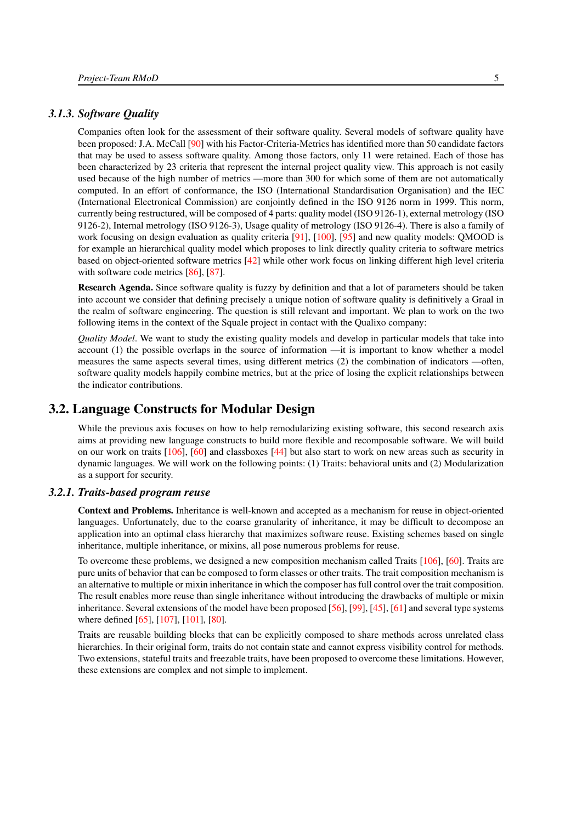#### *3.1.3. Software Quality*

<span id="page-9-0"></span>Companies often look for the assessment of their software quality. Several models of software quality have been proposed: J.A. McCall [\[90\]](#page-28-7) with his Factor-Criteria-Metrics has identified more than 50 candidate factors that may be used to assess software quality. Among those factors, only 11 were retained. Each of those has been characterized by 23 criteria that represent the internal project quality view. This approach is not easily used because of the high number of metrics —more than 300 for which some of them are not automatically computed. In an effort of conformance, the ISO (International Standardisation Organisation) and the IEC (International Electronical Commission) are conjointly defined in the ISO 9126 norm in 1999. This norm, currently being restructured, will be composed of 4 parts: quality model (ISO 9126-1), external metrology (ISO 9126-2), Internal metrology (ISO 9126-3), Usage quality of metrology (ISO 9126-4). There is also a family of work focusing on design evaluation as quality criteria [\[91\]](#page-28-8), [\[100\]](#page-29-5), [\[95\]](#page-28-9) and new quality models: QMOOD is for example an hierarchical quality model which proposes to link directly quality criteria to software metrics based on object-oriented software metrics [\[42\]](#page-25-4) while other work focus on linking different high level criteria with software code metrics [\[86\]](#page-28-10), [\[87\]](#page-28-11).

Research Agenda. Since software quality is fuzzy by definition and that a lot of parameters should be taken into account we consider that defining precisely a unique notion of software quality is definitively a Graal in the realm of software engineering. The question is still relevant and important. We plan to work on the two following items in the context of the Squale project in contact with the Qualixo company:

*Quality Model*. We want to study the existing quality models and develop in particular models that take into account (1) the possible overlaps in the source of information —it is important to know whether a model measures the same aspects several times, using different metrics (2) the combination of indicators —often, software quality models happily combine metrics, but at the price of losing the explicit relationships between the indicator contributions.

# 3.2. Language Constructs for Modular Design

<span id="page-9-1"></span>While the previous axis focuses on how to help remodularizing existing software, this second research axis aims at providing new language constructs to build more flexible and recomposable software. We will build on our work on traits [\[106\]](#page-29-6), [\[60\]](#page-26-7) and classboxes [\[44\]](#page-25-5) but also start to work on new areas such as security in dynamic languages. We will work on the following points: (1) Traits: behavioral units and (2) Modularization as a support for security.

#### *3.2.1. Traits-based program reuse*

<span id="page-9-2"></span>Context and Problems. Inheritance is well-known and accepted as a mechanism for reuse in object-oriented languages. Unfortunately, due to the coarse granularity of inheritance, it may be difficult to decompose an application into an optimal class hierarchy that maximizes software reuse. Existing schemes based on single inheritance, multiple inheritance, or mixins, all pose numerous problems for reuse.

To overcome these problems, we designed a new composition mechanism called Traits [\[106\]](#page-29-6), [\[60\]](#page-26-7). Traits are pure units of behavior that can be composed to form classes or other traits. The trait composition mechanism is an alternative to multiple or mixin inheritance in which the composer has full control over the trait composition. The result enables more reuse than single inheritance without introducing the drawbacks of multiple or mixin inheritance. Several extensions of the model have been proposed [\[56\]](#page-26-8), [\[99\]](#page-29-7), [\[45\]](#page-25-6), [\[61\]](#page-26-9) and several type systems where defined [\[65\]](#page-26-10), [\[107\]](#page-29-8), [\[101\]](#page-29-9), [\[80\]](#page-27-10).

Traits are reusable building blocks that can be explicitly composed to share methods across unrelated class hierarchies. In their original form, traits do not contain state and cannot express visibility control for methods. Two extensions, stateful traits and freezable traits, have been proposed to overcome these limitations. However, these extensions are complex and not simple to implement.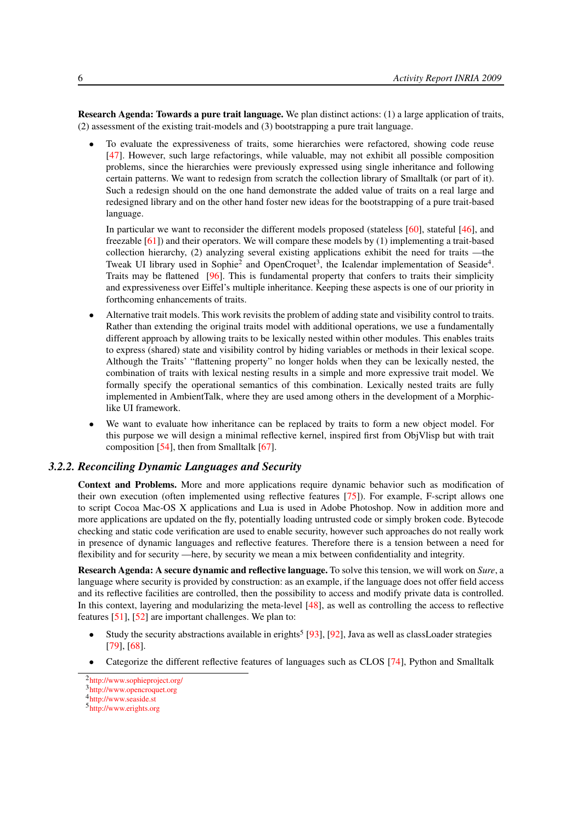Research Agenda: Towards a pure trait language. We plan distinct actions: (1) a large application of traits, (2) assessment of the existing trait-models and (3) bootstrapping a pure trait language.

• To evaluate the expressiveness of traits, some hierarchies were refactored, showing code reuse [\[47\]](#page-25-7). However, such large refactorings, while valuable, may not exhibit all possible composition problems, since the hierarchies were previously expressed using single inheritance and following certain patterns. We want to redesign from scratch the collection library of Smalltalk (or part of it). Such a redesign should on the one hand demonstrate the added value of traits on a real large and redesigned library and on the other hand foster new ideas for the bootstrapping of a pure trait-based language.

In particular we want to reconsider the different models proposed (stateless [\[60\]](#page-26-7), stateful [\[46\]](#page-25-8), and freezable [\[61\]](#page-26-9)) and their operators. We will compare these models by (1) implementing a trait-based collection hierarchy, (2) analyzing several existing applications exhibit the need for traits —the Tweak UI library used in Sophie<sup>2</sup> and OpenCroquet<sup>3</sup>, the Icalendar implementation of Seaside<sup>4</sup>. Traits may be flattened [\[96\]](#page-28-12). This is fundamental property that confers to traits their simplicity and expressiveness over Eiffel's multiple inheritance. Keeping these aspects is one of our priority in forthcoming enhancements of traits.

- Alternative trait models. This work revisits the problem of adding state and visibility control to traits. Rather than extending the original traits model with additional operations, we use a fundamentally different approach by allowing traits to be lexically nested within other modules. This enables traits to express (shared) state and visibility control by hiding variables or methods in their lexical scope. Although the Traits' "flattening property" no longer holds when they can be lexically nested, the combination of traits with lexical nesting results in a simple and more expressive trait model. We formally specify the operational semantics of this combination. Lexically nested traits are fully implemented in AmbientTalk, where they are used among others in the development of a Morphiclike UI framework.
- We want to evaluate how inheritance can be replaced by traits to form a new object model. For this purpose we will design a minimal reflective kernel, inspired first from ObjVlisp but with trait composition [\[54\]](#page-25-9), then from Smalltalk [\[67\]](#page-26-11).

### *3.2.2. Reconciling Dynamic Languages and Security*

<span id="page-10-0"></span>Context and Problems. More and more applications require dynamic behavior such as modification of their own execution (often implemented using reflective features [\[75\]](#page-27-11)). For example, F-script allows one to script Cocoa Mac-OS X applications and Lua is used in Adobe Photoshop. Now in addition more and more applications are updated on the fly, potentially loading untrusted code or simply broken code. Bytecode checking and static code verification are used to enable security, however such approaches do not really work in presence of dynamic languages and reflective features. Therefore there is a tension between a need for flexibility and for security —here, by security we mean a mix between confidentiality and integrity.

Research Agenda: A secure dynamic and reflective language. To solve this tension, we will work on *Sure*, a language where security is provided by construction: as an example, if the language does not offer field access and its reflective facilities are controlled, then the possibility to access and modify private data is controlled. In this context, layering and modularizing the meta-level [\[48\]](#page-25-10), as well as controlling the access to reflective features [\[51\]](#page-25-11), [\[52\]](#page-25-12) are important challenges. We plan to:

- Study the security abstractions available in erights<sup>5</sup> [\[93\]](#page-28-13), [\[92\]](#page-28-14), Java as well as classLoader strategies [\[79\]](#page-27-12), [\[68\]](#page-27-13).
- Categorize the different reflective features of languages such as CLOS [\[74\]](#page-27-14), Python and Smalltalk

<sup>2</sup> <http://www.sophieproject.org/>

<sup>3</sup> <http://www.opencroquet.org>

<sup>4</sup><http://www.seaside.st>

<sup>5</sup><http://www.erights.org>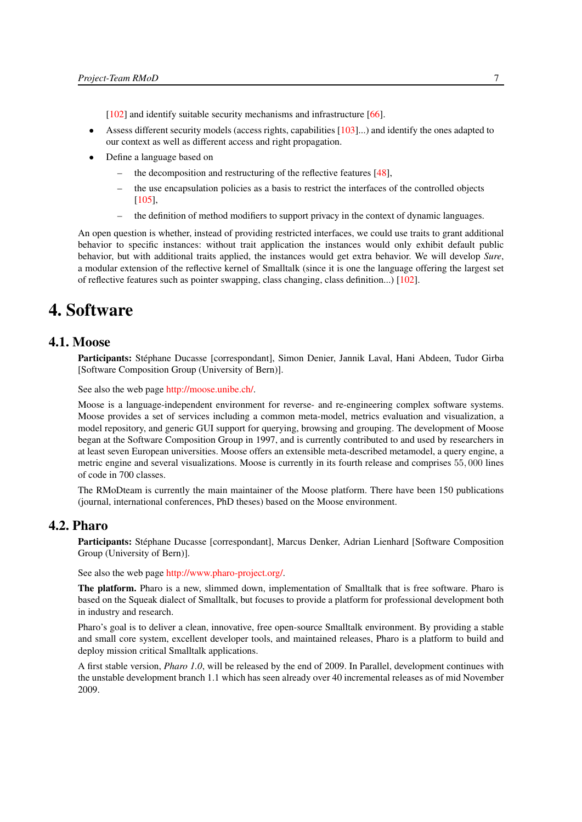[\[102\]](#page-29-10) and identify suitable security mechanisms and infrastructure [\[66\]](#page-26-12).

- Assess different security models (access rights, capabilities  $[103]$ ...) and identify the ones adapted to our context as well as different access and right propagation.
- Define a language based on
	- the decomposition and restructuring of the reflective features [\[48\]](#page-25-10),
	- the use encapsulation policies as a basis to restrict the interfaces of the controlled objects [\[105\]](#page-29-12).
	- the definition of method modifiers to support privacy in the context of dynamic languages.

An open question is whether, instead of providing restricted interfaces, we could use traits to grant additional behavior to specific instances: without trait application the instances would only exhibit default public behavior, but with additional traits applied, the instances would get extra behavior. We will develop *Sure*, a modular extension of the reflective kernel of Smalltalk (since it is one the language offering the largest set of reflective features such as pointer swapping, class changing, class definition...) [\[102\]](#page-29-10).

# <span id="page-11-0"></span>4. Software

#### 4.1. Moose

<span id="page-11-1"></span>Participants: Stéphane Ducasse [correspondant], Simon Denier, Jannik Laval, Hani Abdeen, Tudor Girba [Software Composition Group (University of Bern)].

See also the web page [http://moose.unibe.ch/.](http://moose.unibe.ch/)

Moose is a language-independent environment for reverse- and re-engineering complex software systems. Moose provides a set of services including a common meta-model, metrics evaluation and visualization, a model repository, and generic GUI support for querying, browsing and grouping. The development of Moose began at the Software Composition Group in 1997, and is currently contributed to and used by researchers in at least seven European universities. Moose offers an extensible meta-described metamodel, a query engine, a metric engine and several visualizations. Moose is currently in its fourth release and comprises <sup>55</sup>, <sup>000</sup> lines of code in 700 classes.

The RMoDteam is currently the main maintainer of the Moose platform. There have been 150 publications (journal, international conferences, PhD theses) based on the Moose environment.

### 4.2. Pharo

<span id="page-11-2"></span>Participants: Stéphane Ducasse [correspondant], Marcus Denker, Adrian Lienhard [Software Composition Group (University of Bern)].

See also the web page [http://www.pharo-project.org/.](http://www.pharo-project.org/)

The platform. Pharo is a new, slimmed down, implementation of Smalltalk that is free software. Pharo is based on the Squeak dialect of Smalltalk, but focuses to provide a platform for professional development both in industry and research.

Pharo's goal is to deliver a clean, innovative, free open-source Smalltalk environment. By providing a stable and small core system, excellent developer tools, and maintained releases, Pharo is a platform to build and deploy mission critical Smalltalk applications.

A first stable version, *Pharo 1.0*, will be released by the end of 2009. In Parallel, development continues with the unstable development branch 1.1 which has seen already over 40 incremental releases as of mid November 2009.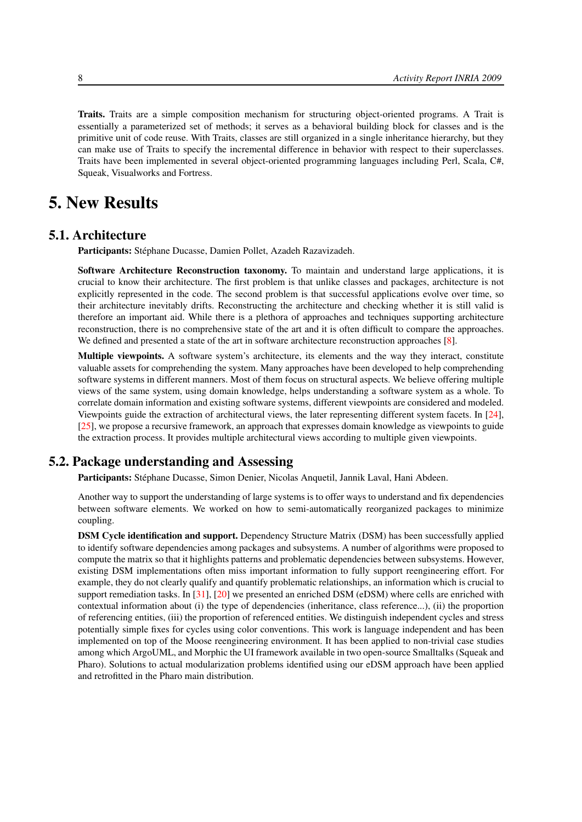Traits. Traits are a simple composition mechanism for structuring object-oriented programs. A Trait is essentially a parameterized set of methods; it serves as a behavioral building block for classes and is the primitive unit of code reuse. With Traits, classes are still organized in a single inheritance hierarchy, but they can make use of Traits to specify the incremental difference in behavior with respect to their superclasses. Traits have been implemented in several object-oriented programming languages including Perl, Scala, C#, Squeak, Visualworks and Fortress.

# <span id="page-12-0"></span>5. New Results

# 5.1. Architecture

<span id="page-12-1"></span>Participants: Stéphane Ducasse, Damien Pollet, Azadeh Razavizadeh.

Software Architecture Reconstruction taxonomy. To maintain and understand large applications, it is crucial to know their architecture. The first problem is that unlike classes and packages, architecture is not explicitly represented in the code. The second problem is that successful applications evolve over time, so their architecture inevitably drifts. Reconstructing the architecture and checking whether it is still valid is therefore an important aid. While there is a plethora of approaches and techniques supporting architecture reconstruction, there is no comprehensive state of the art and it is often difficult to compare the approaches. We defined and presented a state of the art in software architecture reconstruction approaches [\[8\]](#page-21-1).

Multiple viewpoints. A software system's architecture, its elements and the way they interact, constitute valuable assets for comprehending the system. Many approaches have been developed to help comprehending software systems in different manners. Most of them focus on structural aspects. We believe offering multiple views of the same system, using domain knowledge, helps understanding a software system as a whole. To correlate domain information and existing software systems, different viewpoints are considered and modeled. Viewpoints guide the extraction of architectural views, the later representing different system facets. In [\[24\]](#page-23-1), [\[25\]](#page-23-2), we propose a recursive framework, an approach that expresses domain knowledge as viewpoints to guide the extraction process. It provides multiple architectural views according to multiple given viewpoints.

### 5.2. Package understanding and Assessing

<span id="page-12-2"></span>Participants: Stéphane Ducasse, Simon Denier, Nicolas Anquetil, Jannik Laval, Hani Abdeen.

Another way to support the understanding of large systems is to offer ways to understand and fix dependencies between software elements. We worked on how to semi-automatically reorganized packages to minimize coupling.

DSM Cycle identification and support. Dependency Structure Matrix (DSM) has been successfully applied to identify software dependencies among packages and subsystems. A number of algorithms were proposed to compute the matrix so that it highlights patterns and problematic dependencies between subsystems. However, existing DSM implementations often miss important information to fully support reengineering effort. For example, they do not clearly qualify and quantify problematic relationships, an information which is crucial to support remediation tasks. In [\[31\]](#page-23-3), [\[20\]](#page-22-0) we presented an enriched DSM (eDSM) where cells are enriched with contextual information about (i) the type of dependencies (inheritance, class reference...), (ii) the proportion of referencing entities, (iii) the proportion of referenced entities. We distinguish independent cycles and stress potentially simple fixes for cycles using color conventions. This work is language independent and has been implemented on top of the Moose reengineering environment. It has been applied to non-trivial case studies among which ArgoUML, and Morphic the UI framework available in two open-source Smalltalks (Squeak and Pharo). Solutions to actual modularization problems identified using our eDSM approach have been applied and retrofitted in the Pharo main distribution.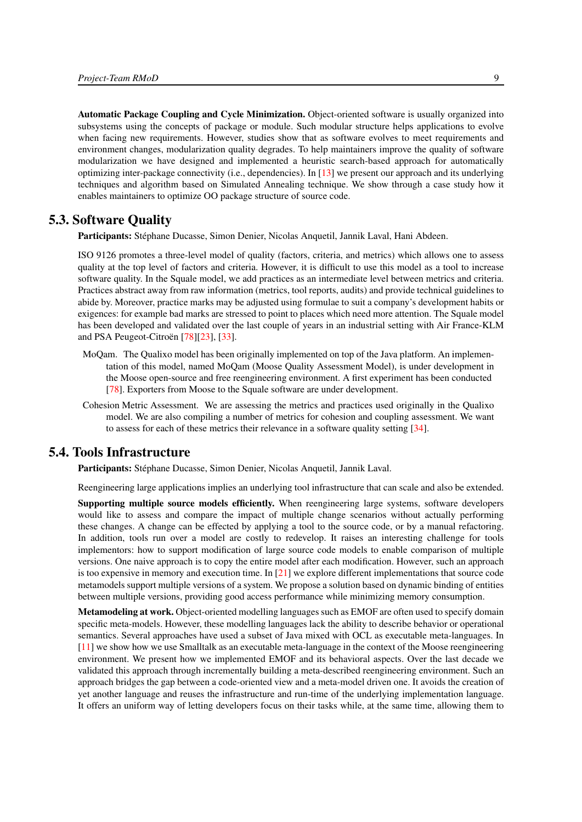Automatic Package Coupling and Cycle Minimization. Object-oriented software is usually organized into subsystems using the concepts of package or module. Such modular structure helps applications to evolve when facing new requirements. However, studies show that as software evolves to meet requirements and environment changes, modularization quality degrades. To help maintainers improve the quality of software modularization we have designed and implemented a heuristic search-based approach for automatically optimizing inter-package connectivity (i.e., dependencies). In [\[13\]](#page-22-1) we present our approach and its underlying techniques and algorithm based on Simulated Annealing technique. We show through a case study how it enables maintainers to optimize OO package structure of source code.

# 5.3. Software Quality

<span id="page-13-0"></span>Participants: Stéphane Ducasse, Simon Denier, Nicolas Anquetil, Jannik Laval, Hani Abdeen.

ISO 9126 promotes a three-level model of quality (factors, criteria, and metrics) which allows one to assess quality at the top level of factors and criteria. However, it is difficult to use this model as a tool to increase software quality. In the Squale model, we add practices as an intermediate level between metrics and criteria. Practices abstract away from raw information (metrics, tool reports, audits) and provide technical guidelines to abide by. Moreover, practice marks may be adjusted using formulae to suit a company's development habits or exigences: for example bad marks are stressed to point to places which need more attention. The Squale model has been developed and validated over the last couple of years in an industrial setting with Air France-KLM and PSA Peugeot-Citroën [\[78\]](#page-27-2)[\[23\]](#page-23-4), [\[33\]](#page-24-2).

- MoQam. The Qualixo model has been originally implemented on top of the Java platform. An implementation of this model, named MoQam (Moose Quality Assessment Model), is under development in the Moose open-source and free reengineering environment. A first experiment has been conducted [\[78\]](#page-27-2). Exporters from Moose to the Squale software are under development.
- Cohesion Metric Assessment. We are assessing the metrics and practices used originally in the Qualixo model. We are also compiling a number of metrics for cohesion and coupling assessment. We want to assess for each of these metrics their relevance in a software quality setting [\[34\]](#page-24-3).

### 5.4. Tools Infrastructure

<span id="page-13-1"></span>Participants: Stéphane Ducasse, Simon Denier, Nicolas Anquetil, Jannik Laval.

Reengineering large applications implies an underlying tool infrastructure that can scale and also be extended.

Supporting multiple source models efficiently. When reengineering large systems, software developers would like to assess and compare the impact of multiple change scenarios without actually performing these changes. A change can be effected by applying a tool to the source code, or by a manual refactoring. In addition, tools run over a model are costly to redevelop. It raises an interesting challenge for tools implementors: how to support modification of large source code models to enable comparison of multiple versions. One naive approach is to copy the entire model after each modification. However, such an approach is too expensive in memory and execution time. In [\[21\]](#page-23-5) we explore different implementations that source code metamodels support multiple versions of a system. We propose a solution based on dynamic binding of entities between multiple versions, providing good access performance while minimizing memory consumption.

Metamodeling at work. Object-oriented modelling languages such as EMOF are often used to specify domain specific meta-models. However, these modelling languages lack the ability to describe behavior or operational semantics. Several approaches have used a subset of Java mixed with OCL as executable meta-languages. In [\[11\]](#page-22-2) we show how we use Smalltalk as an executable meta-language in the context of the Moose reengineering environment. We present how we implemented EMOF and its behavioral aspects. Over the last decade we validated this approach through incrementally building a meta-described reengineering environment. Such an approach bridges the gap between a code-oriented view and a meta-model driven one. It avoids the creation of yet another language and reuses the infrastructure and run-time of the underlying implementation language. It offers an uniform way of letting developers focus on their tasks while, at the same time, allowing them to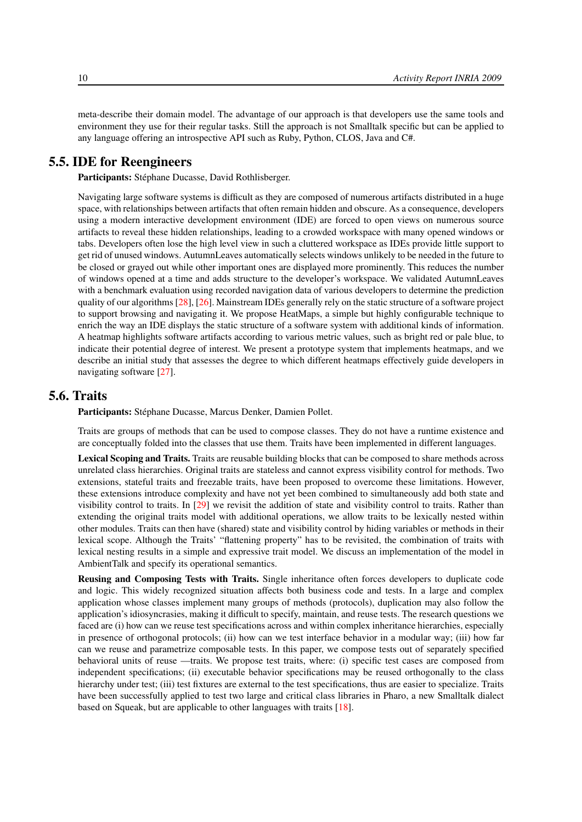meta-describe their domain model. The advantage of our approach is that developers use the same tools and environment they use for their regular tasks. Still the approach is not Smalltalk specific but can be applied to any language offering an introspective API such as Ruby, Python, CLOS, Java and C#.

# 5.5. IDE for Reengineers

<span id="page-14-0"></span>Participants: Stéphane Ducasse, David Rothlisberger.

Navigating large software systems is difficult as they are composed of numerous artifacts distributed in a huge space, with relationships between artifacts that often remain hidden and obscure. As a consequence, developers using a modern interactive development environment (IDE) are forced to open views on numerous source artifacts to reveal these hidden relationships, leading to a crowded workspace with many opened windows or tabs. Developers often lose the high level view in such a cluttered workspace as IDEs provide little support to get rid of unused windows. AutumnLeaves automatically selects windows unlikely to be needed in the future to be closed or grayed out while other important ones are displayed more prominently. This reduces the number of windows opened at a time and adds structure to the developer's workspace. We validated AutumnLeaves with a benchmark evaluation using recorded navigation data of various developers to determine the prediction quality of our algorithms [\[28\]](#page-23-6), [\[26\]](#page-23-7). Mainstream IDEs generally rely on the static structure of a software project to support browsing and navigating it. We propose HeatMaps, a simple but highly configurable technique to enrich the way an IDE displays the static structure of a software system with additional kinds of information. A heatmap highlights software artifacts according to various metric values, such as bright red or pale blue, to indicate their potential degree of interest. We present a prototype system that implements heatmaps, and we describe an initial study that assesses the degree to which different heatmaps effectively guide developers in navigating software [\[27\]](#page-23-8).

### 5.6. Traits

<span id="page-14-1"></span>Participants: Stéphane Ducasse, Marcus Denker, Damien Pollet.

Traits are groups of methods that can be used to compose classes. They do not have a runtime existence and are conceptually folded into the classes that use them. Traits have been implemented in different languages.

Lexical Scoping and Traits. Traits are reusable building blocks that can be composed to share methods across unrelated class hierarchies. Original traits are stateless and cannot express visibility control for methods. Two extensions, stateful traits and freezable traits, have been proposed to overcome these limitations. However, these extensions introduce complexity and have not yet been combined to simultaneously add both state and visibility control to traits. In [\[29\]](#page-23-0) we revisit the addition of state and visibility control to traits. Rather than extending the original traits model with additional operations, we allow traits to be lexically nested within other modules. Traits can then have (shared) state and visibility control by hiding variables or methods in their lexical scope. Although the Traits' "flattening property" has to be revisited, the combination of traits with lexical nesting results in a simple and expressive trait model. We discuss an implementation of the model in AmbientTalk and specify its operational semantics.

Reusing and Composing Tests with Traits. Single inheritance often forces developers to duplicate code and logic. This widely recognized situation affects both business code and tests. In a large and complex application whose classes implement many groups of methods (protocols), duplication may also follow the application's idiosyncrasies, making it difficult to specify, maintain, and reuse tests. The research questions we faced are (i) how can we reuse test specifications across and within complex inheritance hierarchies, especially in presence of orthogonal protocols; (ii) how can we test interface behavior in a modular way; (iii) how far can we reuse and parametrize composable tests. In this paper, we compose tests out of separately specified behavioral units of reuse —traits. We propose test traits, where: (i) specific test cases are composed from independent specifications; (ii) executable behavior specifications may be reused orthogonally to the class hierarchy under test; (iii) test fixtures are external to the test specifications, thus are easier to specialize. Traits have been successfully applied to test two large and critical class libraries in Pharo, a new Smalltalk dialect based on Squeak, but are applicable to other languages with traits [\[18\]](#page-22-3).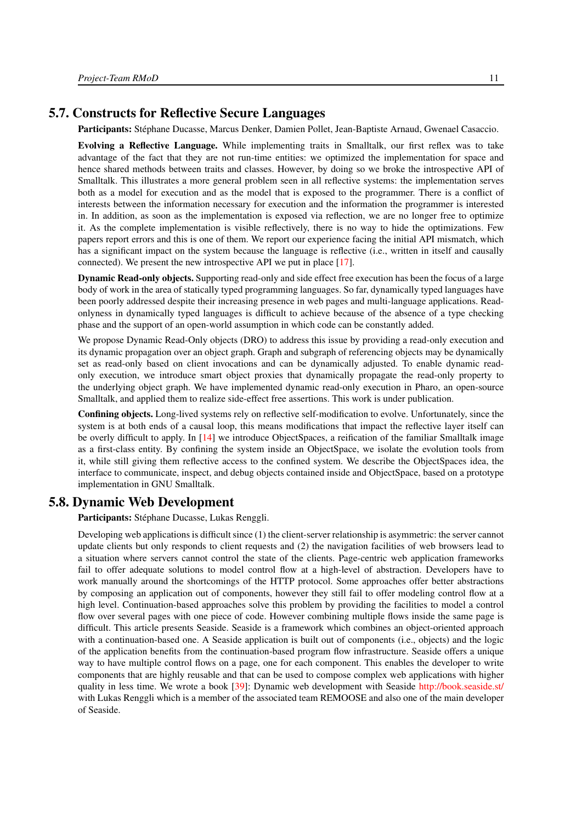# 5.7. Constructs for Reflective Secure Languages

<span id="page-15-0"></span>Participants: Stéphane Ducasse, Marcus Denker, Damien Pollet, Jean-Baptiste Arnaud, Gwenael Casaccio.

Evolving a Reflective Language. While implementing traits in Smalltalk, our first reflex was to take advantage of the fact that they are not run-time entities: we optimized the implementation for space and hence shared methods between traits and classes. However, by doing so we broke the introspective API of Smalltalk. This illustrates a more general problem seen in all reflective systems: the implementation serves both as a model for execution and as the model that is exposed to the programmer. There is a conflict of interests between the information necessary for execution and the information the programmer is interested in. In addition, as soon as the implementation is exposed via reflection, we are no longer free to optimize it. As the complete implementation is visible reflectively, there is no way to hide the optimizations. Few papers report errors and this is one of them. We report our experience facing the initial API mismatch, which has a significant impact on the system because the language is reflective (i.e., written in itself and causally connected). We present the new introspective API we put in place [\[17\]](#page-22-4).

Dynamic Read-only objects. Supporting read-only and side effect free execution has been the focus of a large body of work in the area of statically typed programming languages. So far, dynamically typed languages have been poorly addressed despite their increasing presence in web pages and multi-language applications. Readonlyness in dynamically typed languages is difficult to achieve because of the absence of a type checking phase and the support of an open-world assumption in which code can be constantly added.

We propose Dynamic Read-Only objects (DRO) to address this issue by providing a read-only execution and its dynamic propagation over an object graph. Graph and subgraph of referencing objects may be dynamically set as read-only based on client invocations and can be dynamically adjusted. To enable dynamic readonly execution, we introduce smart object proxies that dynamically propagate the read-only property to the underlying object graph. We have implemented dynamic read-only execution in Pharo, an open-source Smalltalk, and applied them to realize side-effect free assertions. This work is under publication.

Confining objects. Long-lived systems rely on reflective self-modification to evolve. Unfortunately, since the system is at both ends of a causal loop, this means modifications that impact the reflective layer itself can be overly difficult to apply. In [\[14\]](#page-22-5) we introduce ObjectSpaces, a reification of the familiar Smalltalk image as a first-class entity. By confining the system inside an ObjectSpace, we isolate the evolution tools from it, while still giving them reflective access to the confined system. We describe the ObjectSpaces idea, the interface to communicate, inspect, and debug objects contained inside and ObjectSpace, based on a prototype implementation in GNU Smalltalk.

### 5.8. Dynamic Web Development

<span id="page-15-1"></span>Participants: Stéphane Ducasse, Lukas Renggli.

Developing web applications is difficult since (1) the client-server relationship is asymmetric: the server cannot update clients but only responds to client requests and (2) the navigation facilities of web browsers lead to a situation where servers cannot control the state of the clients. Page-centric web application frameworks fail to offer adequate solutions to model control flow at a high-level of abstraction. Developers have to work manually around the shortcomings of the HTTP protocol. Some approaches offer better abstractions by composing an application out of components, however they still fail to offer modeling control flow at a high level. Continuation-based approaches solve this problem by providing the facilities to model a control flow over several pages with one piece of code. However combining multiple flows inside the same page is difficult. This article presents Seaside. Seaside is a framework which combines an object-oriented approach with a continuation-based one. A Seaside application is built out of components (i.e., objects) and the logic of the application benefits from the continuation-based program flow infrastructure. Seaside offers a unique way to have multiple control flows on a page, one for each component. This enables the developer to write components that are highly reusable and that can be used to compose complex web applications with higher quality in less time. We wrote a book [\[39\]](#page-24-4): Dynamic web development with Seaside <http://book.seaside.st/> with Lukas Renggli which is a member of the associated team REMOOSE and also one of the main developer of Seaside.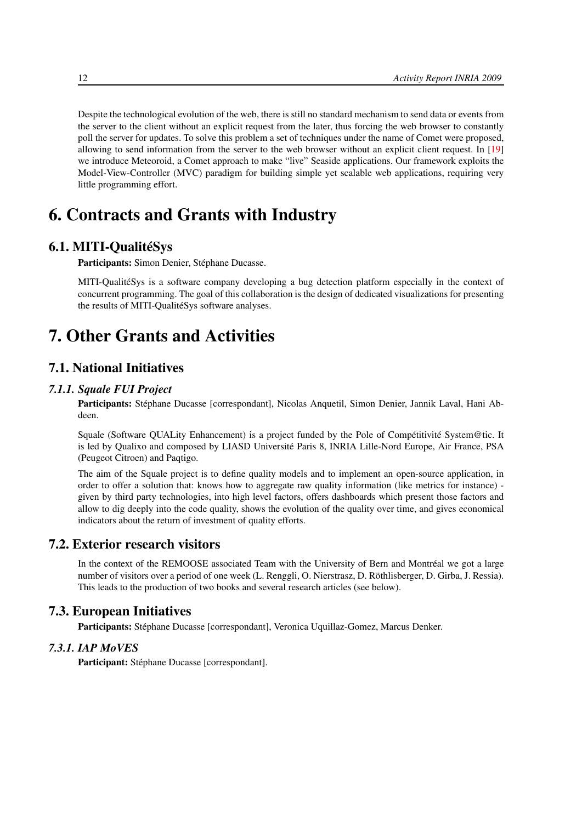Despite the technological evolution of the web, there is still no standard mechanism to send data or events from the server to the client without an explicit request from the later, thus forcing the web browser to constantly poll the server for updates. To solve this problem a set of techniques under the name of Comet were proposed, allowing to send information from the server to the web browser without an explicit client request. In [\[19\]](#page-22-6) we introduce Meteoroid, a Comet approach to make "live" Seaside applications. Our framework exploits the Model-View-Controller (MVC) paradigm for building simple yet scalable web applications, requiring very little programming effort.

# <span id="page-16-0"></span>6. Contracts and Grants with Industry

# 6.1. MITI-QualitéSys

Participants: Simon Denier, Stéphane Ducasse.

MITI-QualitéSys is a software company developing a bug detection platform especially in the context of concurrent programming. The goal of this collaboration is the design of dedicated visualizations for presenting the results of MITI-QualitéSys software analyses.

# <span id="page-16-1"></span>7. Other Grants and Activities

# <span id="page-16-2"></span>7.1. National Initiatives

### *7.1.1. Squale FUI Project*

Participants: Stéphane Ducasse [correspondant], Nicolas Anquetil, Simon Denier, Jannik Laval, Hani Abdeen.

Squale (Software QUALity Enhancement) is a project funded by the Pole of Compétitivité System@tic. It is led by Qualixo and composed by LIASD Université Paris 8, INRIA Lille-Nord Europe, Air France, PSA (Peugeot Citroen) and Paqtigo.

The aim of the Squale project is to define quality models and to implement an open-source application, in order to offer a solution that: knows how to aggregate raw quality information (like metrics for instance) given by third party technologies, into high level factors, offers dashboards which present those factors and allow to dig deeply into the code quality, shows the evolution of the quality over time, and gives economical indicators about the return of investment of quality efforts.

## 7.2. Exterior research visitors

<span id="page-16-3"></span>In the context of the REMOOSE associated Team with the University of Bern and Montréal we got a large number of visitors over a period of one week (L. Renggli, O. Nierstrasz, D. Röthlisberger, D. Girba, J. Ressia). This leads to the production of two books and several research articles (see below).

### 7.3. European Initiatives

<span id="page-16-4"></span>Participants: Stéphane Ducasse [correspondant], Veronica Uquillaz-Gomez, Marcus Denker.

### *7.3.1. IAP MoVES*

<span id="page-16-5"></span>Participant: Stéphane Ducasse [correspondant].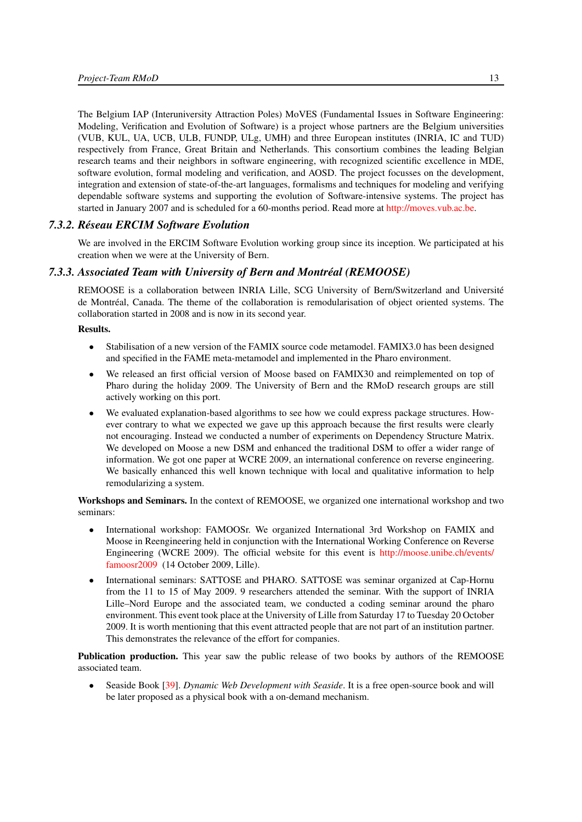The Belgium IAP (Interuniversity Attraction Poles) MoVES (Fundamental Issues in Software Engineering: Modeling, Verification and Evolution of Software) is a project whose partners are the Belgium universities (VUB, KUL, UA, UCB, ULB, FUNDP, ULg, UMH) and three European institutes (INRIA, IC and TUD) respectively from France, Great Britain and Netherlands. This consortium combines the leading Belgian research teams and their neighbors in software engineering, with recognized scientific excellence in MDE, software evolution, formal modeling and verification, and AOSD. The project focusses on the development, integration and extension of state-of-the-art languages, formalisms and techniques for modeling and verifying dependable software systems and supporting the evolution of Software-intensive systems. The project has started in January 2007 and is scheduled for a 60-months period. Read more at [http://moves.vub.ac.be.](http://moves.vub.ac.be)

#### *7.3.2. Réseau ERCIM Software Evolution*

<span id="page-17-0"></span>We are involved in the ERCIM Software Evolution working group since its inception. We participated at his creation when we were at the University of Bern.

### *7.3.3. Associated Team with University of Bern and Montréal (REMOOSE)*

<span id="page-17-1"></span>REMOOSE is a collaboration between INRIA Lille, SCG University of Bern/Switzerland and Université de Montréal, Canada. The theme of the collaboration is remodularisation of object oriented systems. The collaboration started in 2008 and is now in its second year.

#### Results.

- Stabilisation of a new version of the FAMIX source code metamodel. FAMIX3.0 has been designed and specified in the FAME meta-metamodel and implemented in the Pharo environment.
- We released an first official version of Moose based on FAMIX30 and reimplemented on top of Pharo during the holiday 2009. The University of Bern and the RMoD research groups are still actively working on this port.
- We evaluated explanation-based algorithms to see how we could express package structures. However contrary to what we expected we gave up this approach because the first results were clearly not encouraging. Instead we conducted a number of experiments on Dependency Structure Matrix. We developed on Moose a new DSM and enhanced the traditional DSM to offer a wider range of information. We got one paper at WCRE 2009, an international conference on reverse engineering. We basically enhanced this well known technique with local and qualitative information to help remodularizing a system.

Workshops and Seminars. In the context of REMOOSE, we organized one international workshop and two seminars:

- International workshop: FAMOOSr. We organized International 3rd Workshop on FAMIX and Moose in Reengineering held in conjunction with the International Working Conference on Reverse Engineering (WCRE 2009). The official website for this event is [http://moose.unibe.ch/events/](http://moose.unibe.ch/events/famoosr2009 ) [famoosr2009](http://moose.unibe.ch/events/famoosr2009 ) (14 October 2009, Lille).
- International seminars: SATTOSE and PHARO. SATTOSE was seminar organized at Cap-Hornu from the 11 to 15 of May 2009. 9 researchers attended the seminar. With the support of INRIA Lille–Nord Europe and the associated team, we conducted a coding seminar around the pharo environment. This event took place at the University of Lille from Saturday 17 to Tuesday 20 October 2009. It is worth mentioning that this event attracted people that are not part of an institution partner. This demonstrates the relevance of the effort for companies.

Publication production. This year saw the public release of two books by authors of the REMOOSE associated team.

• Seaside Book [\[39\]](#page-24-4). *Dynamic Web Development with Seaside*. It is a free open-source book and will be later proposed as a physical book with a on-demand mechanism.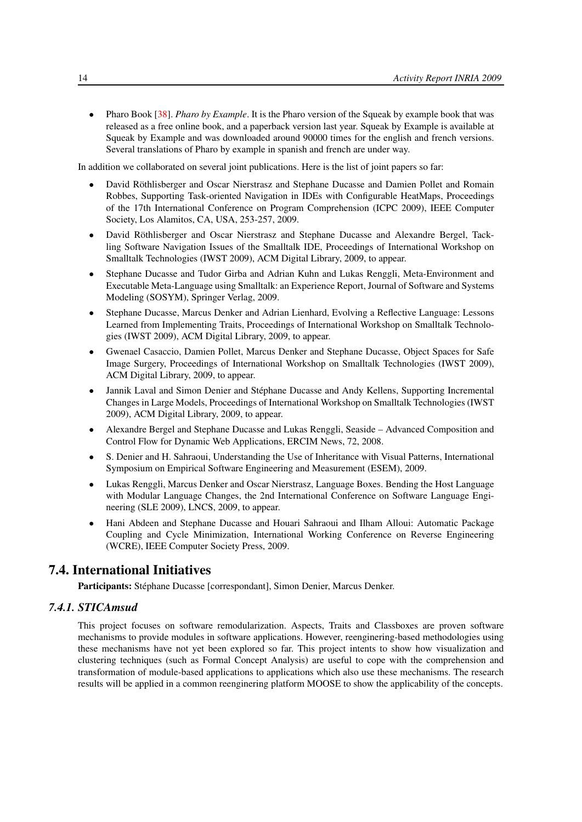• Pharo Book [\[38\]](#page-24-0). *Pharo by Example*. It is the Pharo version of the Squeak by example book that was released as a free online book, and a paperback version last year. Squeak by Example is available at Squeak by Example and was downloaded around 90000 times for the english and french versions. Several translations of Pharo by example in spanish and french are under way.

In addition we collaborated on several joint publications. Here is the list of joint papers so far:

- David Röthlisberger and Oscar Nierstrasz and Stephane Ducasse and Damien Pollet and Romain Robbes, Supporting Task-oriented Navigation in IDEs with Configurable HeatMaps, Proceedings of the 17th International Conference on Program Comprehension (ICPC 2009), IEEE Computer Society, Los Alamitos, CA, USA, 253-257, 2009.
- David Röthlisberger and Oscar Nierstrasz and Stephane Ducasse and Alexandre Bergel, Tackling Software Navigation Issues of the Smalltalk IDE, Proceedings of International Workshop on Smalltalk Technologies (IWST 2009), ACM Digital Library, 2009, to appear.
- Stephane Ducasse and Tudor Girba and Adrian Kuhn and Lukas Renggli, Meta-Environment and Executable Meta-Language using Smalltalk: an Experience Report, Journal of Software and Systems Modeling (SOSYM), Springer Verlag, 2009.
- Stephane Ducasse, Marcus Denker and Adrian Lienhard, Evolving a Reflective Language: Lessons Learned from Implementing Traits, Proceedings of International Workshop on Smalltalk Technologies (IWST 2009), ACM Digital Library, 2009, to appear.
- Gwenael Casaccio, Damien Pollet, Marcus Denker and Stephane Ducasse, Object Spaces for Safe Image Surgery, Proceedings of International Workshop on Smalltalk Technologies (IWST 2009), ACM Digital Library, 2009, to appear.
- Jannik Laval and Simon Denier and Stéphane Ducasse and Andy Kellens, Supporting Incremental Changes in Large Models, Proceedings of International Workshop on Smalltalk Technologies (IWST 2009), ACM Digital Library, 2009, to appear.
- Alexandre Bergel and Stephane Ducasse and Lukas Renggli, Seaside Advanced Composition and Control Flow for Dynamic Web Applications, ERCIM News, 72, 2008.
- S. Denier and H. Sahraoui, Understanding the Use of Inheritance with Visual Patterns, International Symposium on Empirical Software Engineering and Measurement (ESEM), 2009.
- Lukas Renggli, Marcus Denker and Oscar Nierstrasz, Language Boxes. Bending the Host Language with Modular Language Changes, the 2nd International Conference on Software Language Engineering (SLE 2009), LNCS, 2009, to appear.
- Hani Abdeen and Stephane Ducasse and Houari Sahraoui and Ilham Alloui: Automatic Package Coupling and Cycle Minimization, International Working Conference on Reverse Engineering (WCRE), IEEE Computer Society Press, 2009.

# 7.4. International Initiatives

<span id="page-18-0"></span>Participants: Stéphane Ducasse [correspondant], Simon Denier, Marcus Denker.

# *7.4.1. STICAmsud*

This project focuses on software remodularization. Aspects, Traits and Classboxes are proven software mechanisms to provide modules in software applications. However, reenginering-based methodologies using these mechanisms have not yet been explored so far. This project intents to show how visualization and clustering techniques (such as Formal Concept Analysis) are useful to cope with the comprehension and transformation of module-based applications to applications which also use these mechanisms. The research results will be applied in a common reenginering platform MOOSE to show the applicability of the concepts.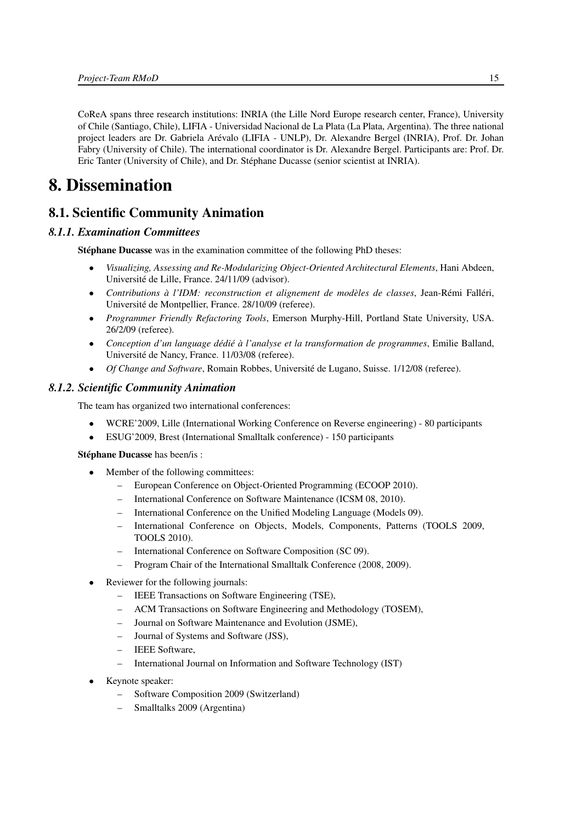CoReA spans three research institutions: INRIA (the Lille Nord Europe research center, France), University of Chile (Santiago, Chile), LIFIA - Universidad Nacional de La Plata (La Plata, Argentina). The three national project leaders are Dr. Gabriela Arévalo (LIFIA - UNLP), Dr. Alexandre Bergel (INRIA), Prof. Dr. Johan Fabry (University of Chile). The international coordinator is Dr. Alexandre Bergel. Participants are: Prof. Dr. Eric Tanter (University of Chile), and Dr. Stéphane Ducasse (senior scientist at INRIA).

# <span id="page-19-0"></span>8. Dissemination

# <span id="page-19-1"></span>8.1. Scientific Community Animation

### *8.1.1. Examination Committees*

<span id="page-19-2"></span>Stéphane Ducasse was in the examination committee of the following PhD theses:

- *Visualizing, Assessing and Re-Modularizing Object-Oriented Architectural Elements*, Hani Abdeen, Université de Lille, France. 24/11/09 (advisor).
- *Contributions à l'IDM: reconstruction et alignement de modèles de classes*, Jean-Rémi Falléri, Université de Montpellier, France. 28/10/09 (referee).
- *Programmer Friendly Refactoring Tools*, Emerson Murphy-Hill, Portland State University, USA. 26/2/09 (referee).
- *Conception d'un language dédié à l'analyse et la transformation de programmes*, Emilie Balland, Université de Nancy, France. 11/03/08 (referee).
- <span id="page-19-3"></span>• *Of Change and Software*, Romain Robbes, Université de Lugano, Suisse. 1/12/08 (referee).

#### *8.1.2. Scientific Community Animation*

The team has organized two international conferences:

- WCRE'2009, Lille (International Working Conference on Reverse engineering) 80 participants
- ESUG'2009, Brest (International Smalltalk conference) 150 participants

Stéphane Ducasse has been/is :

- Member of the following committees:
	- European Conference on Object-Oriented Programming (ECOOP 2010).
	- International Conference on Software Maintenance (ICSM 08, 2010).
	- International Conference on the Unified Modeling Language (Models 09).
	- International Conference on Objects, Models, Components, Patterns (TOOLS 2009, TOOLS 2010).
	- International Conference on Software Composition (SC 09).
	- Program Chair of the International Smalltalk Conference (2008, 2009).
- Reviewer for the following journals:
	- IEEE Transactions on Software Engineering (TSE),
	- ACM Transactions on Software Engineering and Methodology (TOSEM),
	- Journal on Software Maintenance and Evolution (JSME),
	- Journal of Systems and Software (JSS),
	- IEEE Software,
	- International Journal on Information and Software Technology (IST)
- Keynote speaker:
	- Software Composition 2009 (Switzerland)
	- Smalltalks 2009 (Argentina)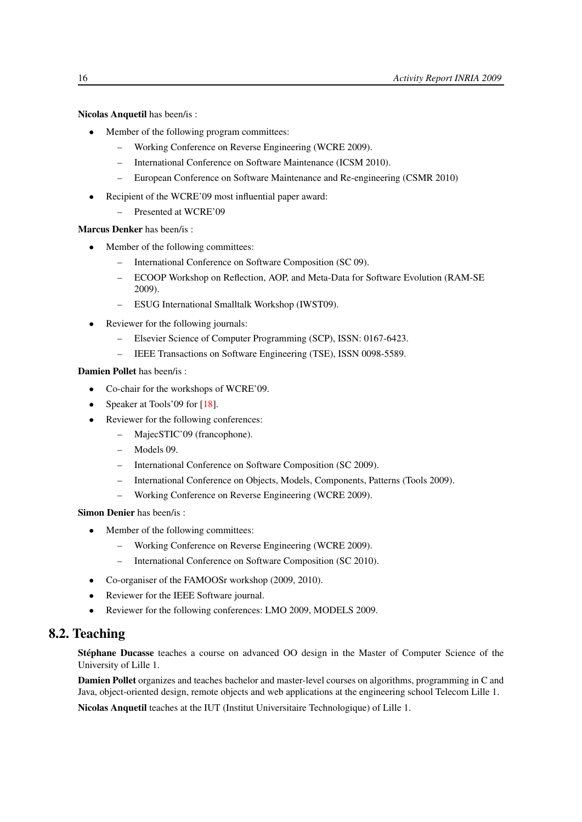Nicolas Anquetil has been/is :

- Member of the following program committees:
	- Working Conference on Reverse Engineering (WCRE 2009).
	- International Conference on Software Maintenance (ICSM 2010).
	- European Conference on Software Maintenance and Re-engineering (CSMR 2010)
- Recipient of the WCRE'09 most influential paper award:
	- Presented at WCRE'09

Marcus Denker has been/is :

- Member of the following committees:
	- International Conference on Software Composition (SC 09).
	- ECOOP Workshop on Reflection, AOP, and Meta-Data for Software Evolution (RAM-SE 2009).
	- ESUG International Smalltalk Workshop (IWST09).
- Reviewer for the following journals:
	- Elsevier Science of Computer Programming (SCP), ISSN: 0167-6423.
	- IEEE Transactions on Software Engineering (TSE), ISSN 0098-5589.

Damien Pollet has been/is :

- Co-chair for the workshops of WCRE'09.
- Speaker at Tools'09 for [\[18\]](#page-22-3).
- Reviewer for the following conferences:
	- MajecSTIC'09 (francophone).
	- Models 09.
	- International Conference on Software Composition (SC 2009).
	- International Conference on Objects, Models, Components, Patterns (Tools 2009).
	- Working Conference on Reverse Engineering (WCRE 2009).

Simon Denier has been/is :

- Member of the following committees:
	- Working Conference on Reverse Engineering (WCRE 2009).
	- International Conference on Software Composition (SC 2010).
- Co-organiser of the FAMOOSr workshop (2009, 2010).
- Reviewer for the IEEE Software journal.
- <span id="page-20-0"></span>• Reviewer for the following conferences: LMO 2009, MODELS 2009.

### 8.2. Teaching

Stéphane Ducasse teaches a course on advanced OO design in the Master of Computer Science of the University of Lille 1.

Damien Pollet organizes and teaches bachelor and master-level courses on algorithms, programming in C and Java, object-oriented design, remote objects and web applications at the engineering school Telecom Lille 1.

Nicolas Anquetil teaches at the IUT (Institut Universitaire Technologique) of Lille 1.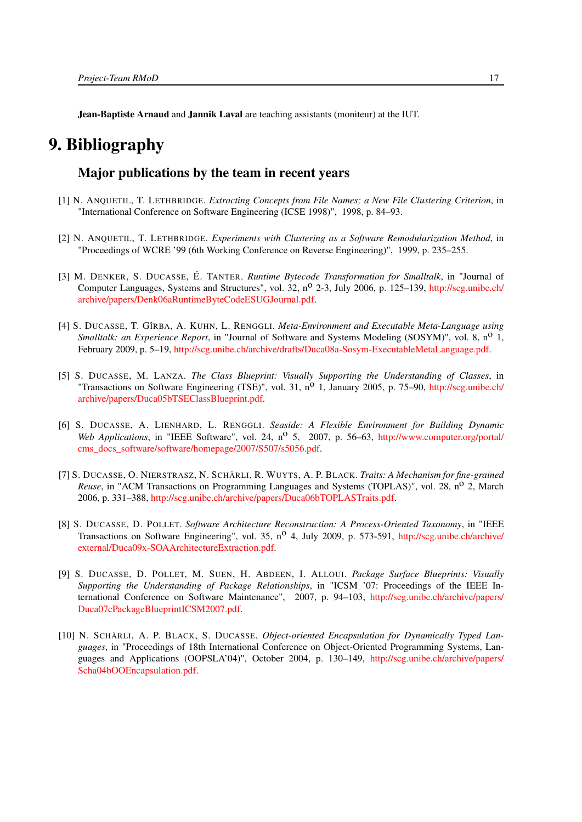<span id="page-21-0"></span>Jean-Baptiste Arnaud and Jannik Laval are teaching assistants (moniteur) at the IUT.

# 9. Bibliography

# Major publications by the team in recent years

- [1] N. ANQUETIL, T. LETHBRIDGE. *Extracting Concepts from File Names; a New File Clustering Criterion*, in "International Conference on Software Engineering (ICSE 1998)", 1998, p. 84–93.
- [2] N. ANQUETIL, T. LETHBRIDGE. *Experiments with Clustering as a Software Remodularization Method*, in "Proceedings of WCRE '99 (6th Working Conference on Reverse Engineering)", 1999, p. 235–255.
- [3] M. DENKER, S. DUCASSE, É. TANTER. *Runtime Bytecode Transformation for Smalltalk*, in "Journal of Computer Languages, Systems and Structures", vol. 32,  $n^{\circ}$  2-3, July 2006, p. 125–139, [http://scg.unibe.ch/](http://scg.unibe.ch/archive/papers/Denk06aRuntimeByteCodeESUGJournal.pdf) [archive/papers/Denk06aRuntimeByteCodeESUGJournal.pdf.](http://scg.unibe.ch/archive/papers/Denk06aRuntimeByteCodeESUGJournal.pdf)
- [4] S. DUCASSE, T. GÎRBA, A. KUHN, L. RENGGLI. *Meta-Environment and Executable Meta-Language using Smalltalk: an Experience Report*, in "Journal of Software and Systems Modeling (SOSYM)", vol. 8, n<sup>o</sup> 1, February 2009, p. 5–19, [http://scg.unibe.ch/archive/drafts/Duca08a-Sosym-ExecutableMetaLanguage.pdf.](http://scg.unibe.ch/archive/drafts/Duca08a-Sosym-ExecutableMetaLanguage.pdf)
- [5] S. DUCASSE, M. LANZA. *The Class Blueprint: Visually Supporting the Understanding of Classes*, in "Transactions on Software Engineering (TSE)", vol. 31,  $n^{\circ}$  1, January 2005, p. 75–90, [http://scg.unibe.ch/](http://scg.unibe.ch/archive/papers/Duca05bTSEClassBlueprint.pdf) [archive/papers/Duca05bTSEClassBlueprint.pdf.](http://scg.unibe.ch/archive/papers/Duca05bTSEClassBlueprint.pdf)
- [6] S. DUCASSE, A. LIENHARD, L. RENGGLI. *Seaside: A Flexible Environment for Building Dynamic Web Applications*, in "IEEE Software", vol. 24, n<sup>o</sup> 5, 2007, p. 56–63, [http://www.computer.org/portal/](http://www.computer.org/portal/cms_docs_software/software/homepage/2007/S507/s5056.pdf) [cms\\_docs\\_software/software/homepage/2007/S507/s5056.pdf.](http://www.computer.org/portal/cms_docs_software/software/homepage/2007/S507/s5056.pdf)
- [7] S. DUCASSE, O. NIERSTRASZ, N. SCHÄRLI, R. WUYTS, A. P. BLACK. *Traits: A Mechanism for fine-grained Reuse*, in "ACM Transactions on Programming Languages and Systems (TOPLAS)", vol. 28, n<sup>o</sup> 2, March 2006, p. 331–388, [http://scg.unibe.ch/archive/papers/Duca06bTOPLASTraits.pdf.](http://scg.unibe.ch/archive/papers/Duca06bTOPLASTraits.pdf)
- <span id="page-21-1"></span>[8] S. DUCASSE, D. POLLET. *Software Architecture Reconstruction: A Process-Oriented Taxonomy*, in "IEEE Transactions on Software Engineering", vol. 35, n<sup>o</sup> 4, July 2009, p. 573-591, [http://scg.unibe.ch/archive/](http://scg.unibe.ch/archive/external/Duca09x-SOAArchitectureExtraction.pdf) [external/Duca09x-SOAArchitectureExtraction.pdf.](http://scg.unibe.ch/archive/external/Duca09x-SOAArchitectureExtraction.pdf)
- [9] S. DUCASSE, D. POLLET, M. SUEN, H. ABDEEN, I. ALLOUI. *Package Surface Blueprints: Visually Supporting the Understanding of Package Relationships*, in "ICSM '07: Proceedings of the IEEE International Conference on Software Maintenance", 2007, p. 94–103, [http://scg.unibe.ch/archive/papers/](http://scg.unibe.ch/archive/papers/Duca07cPackageBlueprintICSM2007.pdf) [Duca07cPackageBlueprintICSM2007.pdf.](http://scg.unibe.ch/archive/papers/Duca07cPackageBlueprintICSM2007.pdf)
- [10] N. SCHÄRLI, A. P. BLACK, S. DUCASSE. *Object-oriented Encapsulation for Dynamically Typed Languages*, in "Proceedings of 18th International Conference on Object-Oriented Programming Systems, Languages and Applications (OOPSLA'04)", October 2004, p. 130–149, [http://scg.unibe.ch/archive/papers/](http://scg.unibe.ch/archive/papers/Scha04bOOEncapsulation.pdf) [Scha04bOOEncapsulation.pdf.](http://scg.unibe.ch/archive/papers/Scha04bOOEncapsulation.pdf)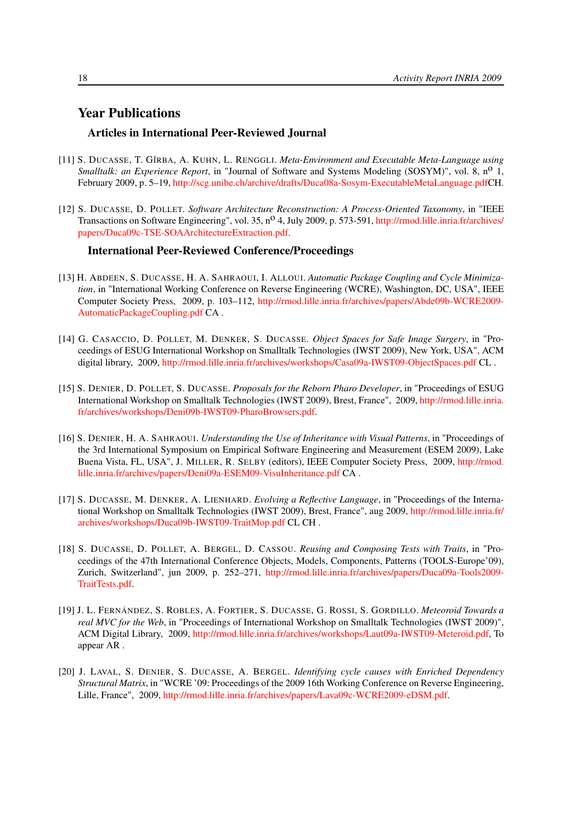# Year Publications

### Articles in International Peer-Reviewed Journal

- <span id="page-22-2"></span>[11] S. DUCASSE, T. GÎRBA, A. KUHN, L. RENGGLI. *Meta-Environment and Executable Meta-Language using Smalltalk: an Experience Report*, in "Journal of Software and Systems Modeling (SOSYM)", vol. 8, n<sup>o</sup> 1, February 2009, p. 5–19, [http://scg.unibe.ch/archive/drafts/Duca08a-Sosym-ExecutableMetaLanguage.pdfC](http://scg.unibe.ch/archive/drafts/Duca08a-Sosym-ExecutableMetaLanguage.pdf)H.
- [12] S. DUCASSE, D. POLLET. *Software Architecture Reconstruction: A Process-Oriented Taxonomy*, in "IEEE Transactions on Software Engineering", vol. 35, n<sup>o</sup> 4, July 2009, p. 573-591, [http://rmod.lille.inria.fr/archives/](http://rmod.lille.inria.fr/archives/papers/Duca09c-TSE-SOAArchitectureExtraction.pdf) [papers/Duca09c-TSE-SOAArchitectureExtraction.pdf.](http://rmod.lille.inria.fr/archives/papers/Duca09c-TSE-SOAArchitectureExtraction.pdf)

### International Peer-Reviewed Conference/Proceedings

- <span id="page-22-1"></span>[13] H. ABDEEN, S. DUCASSE, H. A. SAHRAOUI, I. ALLOUI. *Automatic Package Coupling and Cycle Minimization*, in "International Working Conference on Reverse Engineering (WCRE), Washington, DC, USA", IEEE Computer Society Press, 2009, p. 103–112, [http://rmod.lille.inria.fr/archives/papers/Abde09b-WCRE2009-](http://rmod.lille.inria.fr/archives/papers/Abde09b-WCRE2009-AutomaticPackageCoupling.pdf) [AutomaticPackageCoupling.pdf](http://rmod.lille.inria.fr/archives/papers/Abde09b-WCRE2009-AutomaticPackageCoupling.pdf) CA .
- <span id="page-22-5"></span>[14] G. CASACCIO, D. POLLET, M. DENKER, S. DUCASSE. *Object Spaces for Safe Image Surgery*, in "Proceedings of ESUG International Workshop on Smalltalk Technologies (IWST 2009), New York, USA", ACM digital library, 2009, <http://rmod.lille.inria.fr/archives/workshops/Casa09a-IWST09-ObjectSpaces.pdf> CL.
- [15] S. DENIER, D. POLLET, S. DUCASSE. *Proposals for the Reborn Pharo Developer*, in "Proceedings of ESUG International Workshop on Smalltalk Technologies (IWST 2009), Brest, France", 2009, [http://rmod.lille.inria.](http://rmod.lille.inria.fr/archives/workshops/Deni09b-IWST09-PharoBrowsers.pdf) [fr/archives/workshops/Deni09b-IWST09-PharoBrowsers.pdf.](http://rmod.lille.inria.fr/archives/workshops/Deni09b-IWST09-PharoBrowsers.pdf)
- [16] S. DENIER, H. A. SAHRAOUI. *Understanding the Use of Inheritance with Visual Patterns*, in "Proceedings of the 3rd International Symposium on Empirical Software Engineering and Measurement (ESEM 2009), Lake Buena Vista, FL, USA", J. MILLER, R. SELBY (editors), IEEE Computer Society Press, 2009, [http://rmod.](http://rmod.lille.inria.fr/archives/papers/Deni09a-ESEM09-VisuInheritance.pdf) [lille.inria.fr/archives/papers/Deni09a-ESEM09-VisuInheritance.pdf](http://rmod.lille.inria.fr/archives/papers/Deni09a-ESEM09-VisuInheritance.pdf) CA .
- <span id="page-22-4"></span>[17] S. DUCASSE, M. DENKER, A. LIENHARD. *Evolving a Reflective Language*, in "Proceedings of the International Workshop on Smalltalk Technologies (IWST 2009), Brest, France", aug 2009, [http://rmod.lille.inria.fr/](http://rmod.lille.inria.fr/archives/workshops/Duca09b-IWST09-TraitMop.pdf) [archives/workshops/Duca09b-IWST09-TraitMop.pdf](http://rmod.lille.inria.fr/archives/workshops/Duca09b-IWST09-TraitMop.pdf) CL CH .
- <span id="page-22-3"></span>[18] S. DUCASSE, D. POLLET, A. BERGEL, D. CASSOU. *Reusing and Composing Tests with Traits*, in "Proceedings of the 47th International Conference Objects, Models, Components, Patterns (TOOLS-Europe'09), Zurich, Switzerland", jun 2009, p. 252–271, [http://rmod.lille.inria.fr/archives/papers/Duca09a-Tools2009-](http://rmod.lille.inria.fr/archives/papers/Duca09a-Tools2009-TraitTests.pdf) [TraitTests.pdf.](http://rmod.lille.inria.fr/archives/papers/Duca09a-Tools2009-TraitTests.pdf)
- <span id="page-22-6"></span>[19] J. L. FERNÁNDEZ, S. ROBLES, A. FORTIER, S. DUCASSE, G. ROSSI, S. GORDILLO. *Meteoroid Towards a real MVC for the Web*, in "Proceedings of International Workshop on Smalltalk Technologies (IWST 2009)", ACM Digital Library, 2009, [http://rmod.lille.inria.fr/archives/workshops/Laut09a-IWST09-Meteroid.pdf,](http://rmod.lille.inria.fr/archives/workshops/Laut09a-IWST09-Meteroid.pdf) To appear AR .
- <span id="page-22-0"></span>[20] J. LAVAL, S. DENIER, S. DUCASSE, A. BERGEL. *Identifying cycle causes with Enriched Dependency Structural Matrix*, in "WCRE '09: Proceedings of the 2009 16th Working Conference on Reverse Engineering, Lille, France", 2009, [http://rmod.lille.inria.fr/archives/papers/Lava09c-WCRE2009-eDSM.pdf.](http://rmod.lille.inria.fr/archives/papers/Lava09c-WCRE2009-eDSM.pdf)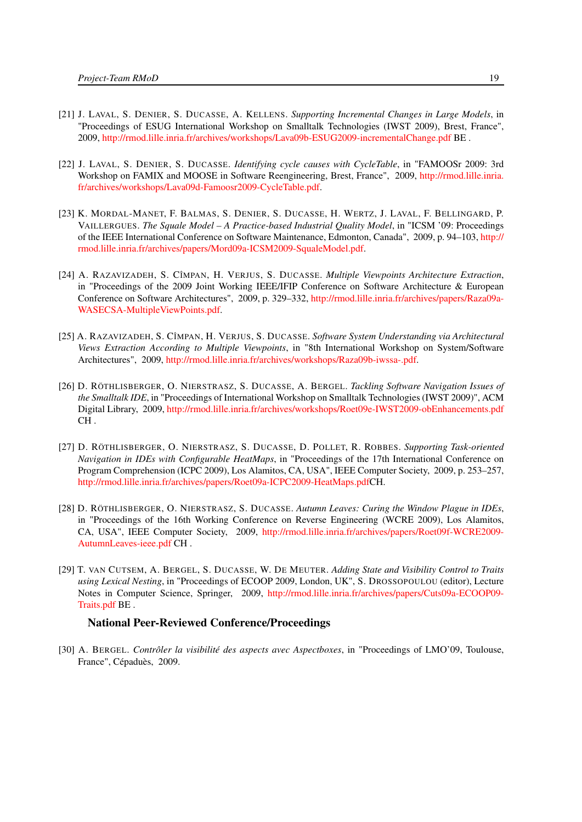- <span id="page-23-5"></span>[21] J. LAVAL, S. DENIER, S. DUCASSE, A. KELLENS. *Supporting Incremental Changes in Large Models*, in "Proceedings of ESUG International Workshop on Smalltalk Technologies (IWST 2009), Brest, France", 2009, <http://rmod.lille.inria.fr/archives/workshops/Lava09b-ESUG2009-incrementalChange.pdf> BE .
- [22] J. LAVAL, S. DENIER, S. DUCASSE. *Identifying cycle causes with CycleTable*, in "FAMOOSr 2009: 3rd Workshop on FAMIX and MOOSE in Software Reengineering, Brest, France", 2009, [http://rmod.lille.inria.](http://rmod.lille.inria.fr/archives/workshops/Lava09d-Famoosr2009-CycleTable.pdf) [fr/archives/workshops/Lava09d-Famoosr2009-CycleTable.pdf.](http://rmod.lille.inria.fr/archives/workshops/Lava09d-Famoosr2009-CycleTable.pdf)
- <span id="page-23-4"></span>[23] K. MORDAL-MANET, F. BALMAS, S. DENIER, S. DUCASSE, H. WERTZ, J. LAVAL, F. BELLINGARD, P. VAILLERGUES. *The Squale Model – A Practice-based Industrial Quality Model*, in "ICSM '09: Proceedings of the IEEE International Conference on Software Maintenance, Edmonton, Canada", 2009, p. 94–103, [http://](http://rmod.lille.inria.fr/archives/papers/Mord09a-ICSM2009-SqualeModel.pdf) [rmod.lille.inria.fr/archives/papers/Mord09a-ICSM2009-SqualeModel.pdf.](http://rmod.lille.inria.fr/archives/papers/Mord09a-ICSM2009-SqualeModel.pdf)
- <span id="page-23-1"></span>[24] A. RAZAVIZADEH, S. CÎMPAN, H. VERJUS, S. DUCASSE. *Multiple Viewpoints Architecture Extraction*, in "Proceedings of the 2009 Joint Working IEEE/IFIP Conference on Software Architecture & European Conference on Software Architectures", 2009, p. 329–332, [http://rmod.lille.inria.fr/archives/papers/Raza09a-](http://rmod.lille.inria.fr/archives/papers/Raza09a-WASECSA-MultipleViewPoints.pdf)[WASECSA-MultipleViewPoints.pdf.](http://rmod.lille.inria.fr/archives/papers/Raza09a-WASECSA-MultipleViewPoints.pdf)
- <span id="page-23-2"></span>[25] A. RAZAVIZADEH, S. CÎMPAN, H. VERJUS, S. DUCASSE. *Software System Understanding via Architectural Views Extraction According to Multiple Viewpoints*, in "8th International Workshop on System/Software Architectures", 2009, [http://rmod.lille.inria.fr/archives/workshops/Raza09b-iwssa-.pdf.](http://rmod.lille.inria.fr/archives/workshops/Raza09b-iwssa-.pdf)
- <span id="page-23-7"></span>[26] D. RÖTHLISBERGER, O. NIERSTRASZ, S. DUCASSE, A. BERGEL. *Tackling Software Navigation Issues of the Smalltalk IDE*, in "Proceedings of International Workshop on Smalltalk Technologies (IWST 2009)", ACM Digital Library, 2009, <http://rmod.lille.inria.fr/archives/workshops/Roet09e-IWST2009-obEnhancements.pdf> CH .
- <span id="page-23-8"></span>[27] D. RÖTHLISBERGER, O. NIERSTRASZ, S. DUCASSE, D. POLLET, R. ROBBES. *Supporting Task-oriented Navigation in IDEs with Configurable HeatMaps*, in "Proceedings of the 17th International Conference on Program Comprehension (ICPC 2009), Los Alamitos, CA, USA", IEEE Computer Society, 2009, p. 253–257, [http://rmod.lille.inria.fr/archives/papers/Roet09a-ICPC2009-HeatMaps.pdfC](http://rmod.lille.inria.fr/archives/papers/Roet09a-ICPC2009-HeatMaps.pdf)H.
- <span id="page-23-6"></span>[28] D. RÖTHLISBERGER, O. NIERSTRASZ, S. DUCASSE. *Autumn Leaves: Curing the Window Plague in IDEs*, in "Proceedings of the 16th Working Conference on Reverse Engineering (WCRE 2009), Los Alamitos, CA, USA", IEEE Computer Society, 2009, [http://rmod.lille.inria.fr/archives/papers/Roet09f-WCRE2009-](http://rmod.lille.inria.fr/archives/papers/Roet09f-WCRE2009-AutumnLeaves-ieee.pdf) [AutumnLeaves-ieee.pdf](http://rmod.lille.inria.fr/archives/papers/Roet09f-WCRE2009-AutumnLeaves-ieee.pdf) CH .
- <span id="page-23-0"></span>[29] T. VAN CUTSEM, A. BERGEL, S. DUCASSE, W. DE MEUTER. *Adding State and Visibility Control to Traits using Lexical Nesting*, in "Proceedings of ECOOP 2009, London, UK", S. DROSSOPOULOU (editor), Lecture Notes in Computer Science, Springer, 2009, [http://rmod.lille.inria.fr/archives/papers/Cuts09a-ECOOP09-](http://rmod.lille.inria.fr/archives/papers/Cuts09a-ECOOP09-Traits.pdf) [Traits.pdf](http://rmod.lille.inria.fr/archives/papers/Cuts09a-ECOOP09-Traits.pdf) BE .

#### National Peer-Reviewed Conference/Proceedings

<span id="page-23-3"></span>[30] A. BERGEL. *Contrôler la visibilité des aspects avec Aspectboxes*, in "Proceedings of LMO'09, Toulouse, France", Cépaduès, 2009.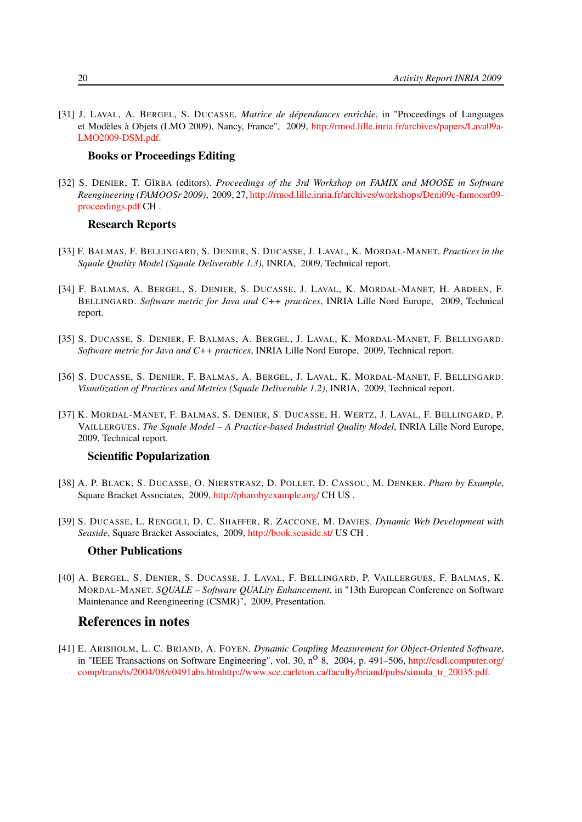[31] J. LAVAL, A. BERGEL, S. DUCASSE. *Matrice de dépendances enrichie*, in "Proceedings of Languages et Modèles à Objets (LMO 2009), Nancy, France", 2009, [http://rmod.lille.inria.fr/archives/papers/Lava09a-](http://rmod.lille.inria.fr/archives/papers/Lava09a-LMO2009-DSM.pdf)[LMO2009-DSM.pdf.](http://rmod.lille.inria.fr/archives/papers/Lava09a-LMO2009-DSM.pdf)

#### Books or Proceedings Editing

[32] S. DENIER, T. GÎRBA (editors). *Proceedings of the 3rd Workshop on FAMIX and MOOSE in Software Reengineering (FAMOOSr 2009)*, 2009, 27, [http://rmod.lille.inria.fr/archives/workshops/Deni09c-famoosr09](http://rmod.lille.inria.fr/archives/workshops/Deni09c-famoosr09-proceedings.pdf) [proceedings.pdf](http://rmod.lille.inria.fr/archives/workshops/Deni09c-famoosr09-proceedings.pdf) CH .

#### Research Reports

- <span id="page-24-2"></span>[33] F. BALMAS, F. BELLINGARD, S. DENIER, S. DUCASSE, J. LAVAL, K. MORDAL-MANET. *Practices in the Squale Quality Model (Squale Deliverable 1.3)*, INRIA, 2009, Technical report.
- <span id="page-24-3"></span>[34] F. BALMAS, A. BERGEL, S. DENIER, S. DUCASSE, J. LAVAL, K. MORDAL-MANET, H. ABDEEN, F. BELLINGARD. *Software metric for Java and C++ practices*, INRIA Lille Nord Europe, 2009, Technical report.
- [35] S. DUCASSE, S. DENIER, F. BALMAS, A. BERGEL, J. LAVAL, K. MORDAL-MANET, F. BELLINGARD. *Software metric for Java and C++ practices*, INRIA Lille Nord Europe, 2009, Technical report.
- [36] S. DUCASSE, S. DENIER, F. BALMAS, A. BERGEL, J. LAVAL, K. MORDAL-MANET, F. BELLINGARD. *Visualization of Practices and Metrics (Squale Deliverable 1.2)*, INRIA, 2009, Technical report.
- [37] K. MORDAL-MANET, F. BALMAS, S. DENIER, S. DUCASSE, H. WERTZ, J. LAVAL, F. BELLINGARD, P. VAILLERGUES. *The Squale Model – A Practice-based Industrial Quality Model*, INRIA Lille Nord Europe, 2009, Technical report.

#### Scientific Popularization

- <span id="page-24-0"></span>[38] A. P. BLACK, S. DUCASSE, O. NIERSTRASZ, D. POLLET, D. CASSOU, M. DENKER. *Pharo by Example*, Square Bracket Associates, 2009, <http://pharobyexample.org/> CH US .
- <span id="page-24-4"></span>[39] S. DUCASSE, L. RENGGLI, D. C. SHAFFER, R. ZACCONE, M. DAVIES. *Dynamic Web Development with Seaside*, Square Bracket Associates, 2009, <http://book.seaside.st/> US CH .

#### Other Publications

[40] A. BERGEL, S. DENIER, S. DUCASSE, J. LAVAL, F. BELLINGARD, P. VAILLERGUES, F. BALMAS, K. MORDAL-MANET. *SQUALE – Software QUALity Enhancement*, in "13th European Conference on Software Maintenance and Reengineering (CSMR)", 2009, Presentation.

### References in notes

<span id="page-24-1"></span>[41] E. ARISHOLM, L. C. BRIAND, A. FOYEN. *Dynamic Coupling Measurement for Object-Oriented Software*, in "IEEE Transactions on Software Engineering", vol. 30,  $n^{O}$  8, 2004, p. 491–506, [http://csdl.computer.org/](http://csdl.computer.org/comp/trans/ts/2004/08/e0491abs.htmhttp://www.sce.carleton.ca/faculty/briand/pubs/simula_tr_20035.pdf) [comp/trans/ts/2004/08/e0491abs.htmhttp://www.sce.carleton.ca/faculty/briand/pubs/simula\\_tr\\_20035.pdf.](http://csdl.computer.org/comp/trans/ts/2004/08/e0491abs.htmhttp://www.sce.carleton.ca/faculty/briand/pubs/simula_tr_20035.pdf)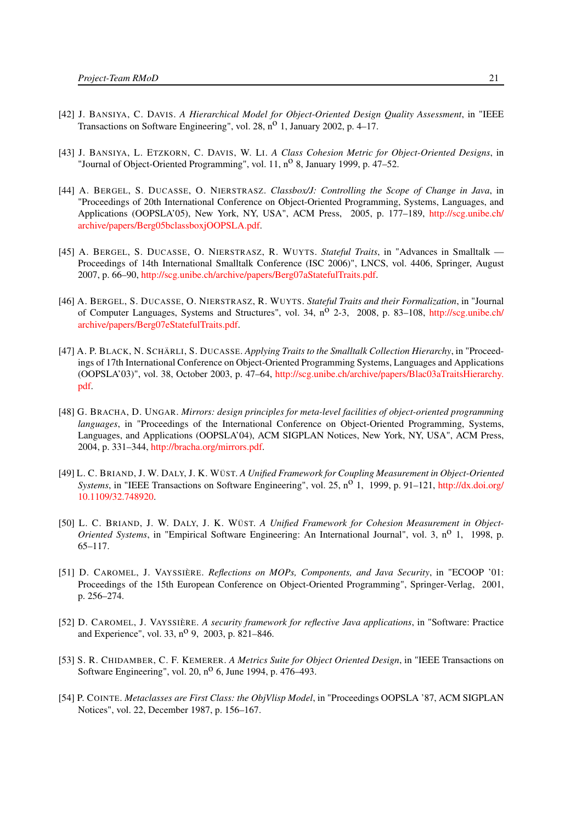- <span id="page-25-4"></span>[42] J. BANSIYA, C. DAVIS. *A Hierarchical Model for Object-Oriented Design Quality Assessment*, in "IEEE Transactions on Software Engineering", vol. 28, n<sup>o</sup> 1, January 2002, p. 4–17.
- <span id="page-25-3"></span>[43] J. BANSIYA, L. ETZKORN, C. DAVIS, W. LI. *A Class Cohesion Metric for Object-Oriented Designs*, in "Journal of Object-Oriented Programming", vol.  $11$ , n<sup>o</sup> 8, January 1999, p. 47–52.
- <span id="page-25-5"></span>[44] A. BERGEL, S. DUCASSE, O. NIERSTRASZ. *Classbox/J: Controlling the Scope of Change in Java*, in "Proceedings of 20th International Conference on Object-Oriented Programming, Systems, Languages, and Applications (OOPSLA'05), New York, NY, USA", ACM Press, 2005, p. 177–189, [http://scg.unibe.ch/](http://scg.unibe.ch/archive/papers/Berg05bclassboxjOOPSLA.pdf) [archive/papers/Berg05bclassboxjOOPSLA.pdf.](http://scg.unibe.ch/archive/papers/Berg05bclassboxjOOPSLA.pdf)
- <span id="page-25-6"></span>[45] A. BERGEL, S. DUCASSE, O. NIERSTRASZ, R. WUYTS. *Stateful Traits*, in "Advances in Smalltalk — Proceedings of 14th International Smalltalk Conference (ISC 2006)", LNCS, vol. 4406, Springer, August 2007, p. 66–90, [http://scg.unibe.ch/archive/papers/Berg07aStatefulTraits.pdf.](http://scg.unibe.ch/archive/papers/Berg07aStatefulTraits.pdf)
- <span id="page-25-8"></span>[46] A. BERGEL, S. DUCASSE, O. NIERSTRASZ, R. WUYTS. *Stateful Traits and their Formalization*, in "Journal of Computer Languages, Systems and Structures", vol. 34, n<sup>o</sup> 2-3, 2008, p. 83-108, [http://scg.unibe.ch/](http://scg.unibe.ch/archive/papers/Berg07eStatefulTraits.pdf) [archive/papers/Berg07eStatefulTraits.pdf.](http://scg.unibe.ch/archive/papers/Berg07eStatefulTraits.pdf)
- <span id="page-25-7"></span>[47] A. P. BLACK, N. SCHÄRLI, S. DUCASSE. *Applying Traits to the Smalltalk Collection Hierarchy*, in "Proceedings of 17th International Conference on Object-Oriented Programming Systems, Languages and Applications (OOPSLA'03)", vol. 38, October 2003, p. 47–64, [http://scg.unibe.ch/archive/papers/Blac03aTraitsHierarchy.](http://scg.unibe.ch/archive/papers/Blac03aTraitsHierarchy.pdf) [pdf.](http://scg.unibe.ch/archive/papers/Blac03aTraitsHierarchy.pdf)
- <span id="page-25-10"></span>[48] G. BRACHA, D. UNGAR. *Mirrors: design principles for meta-level facilities of object-oriented programming languages*, in "Proceedings of the International Conference on Object-Oriented Programming, Systems, Languages, and Applications (OOPSLA'04), ACM SIGPLAN Notices, New York, NY, USA", ACM Press, 2004, p. 331–344, [http://bracha.org/mirrors.pdf.](http://bracha.org/mirrors.pdf)
- <span id="page-25-1"></span>[49] L. C. BRIAND, J. W. DALY, J. K. WÜST. *A Unified Framework for Coupling Measurement in Object-Oriented Systems*, in "IEEE Transactions on Software Engineering", vol. 25, n<sup>o</sup> 1, 1999, p. 91–121, [http://dx.doi.org/](http://dx.doi.org/10.1109/32.748920) [10.1109/32.748920.](http://dx.doi.org/10.1109/32.748920)
- <span id="page-25-2"></span>[50] L. C. BRIAND, J. W. DALY, J. K. WÜST. *A Unified Framework for Cohesion Measurement in Object-Oriented Systems*, in "Empirical Software Engineering: An International Journal", vol. 3, n<sup>0</sup> 1, 1998, p. 65–117.
- <span id="page-25-11"></span>[51] D. CAROMEL, J. VAYSSIÈRE. *Reflections on MOPs, Components, and Java Security*, in "ECOOP '01: Proceedings of the 15th European Conference on Object-Oriented Programming", Springer-Verlag, 2001, p. 256–274.
- <span id="page-25-12"></span>[52] D. CAROMEL, J. VAYSSIÈRE. *A security framework for reflective Java applications*, in "Software: Practice and Experience", vol. 33,  $n^{O}$  9, 2003, p. 821–846.
- <span id="page-25-0"></span>[53] S. R. CHIDAMBER, C. F. KEMERER. *A Metrics Suite for Object Oriented Design*, in "IEEE Transactions on Software Engineering", vol. 20,  $n^{\circ}$  6, June 1994, p. 476–493.
- <span id="page-25-9"></span>[54] P. COINTE. *Metaclasses are First Class: the ObjVlisp Model*, in "Proceedings OOPSLA '87, ACM SIGPLAN Notices", vol. 22, December 1987, p. 156–167.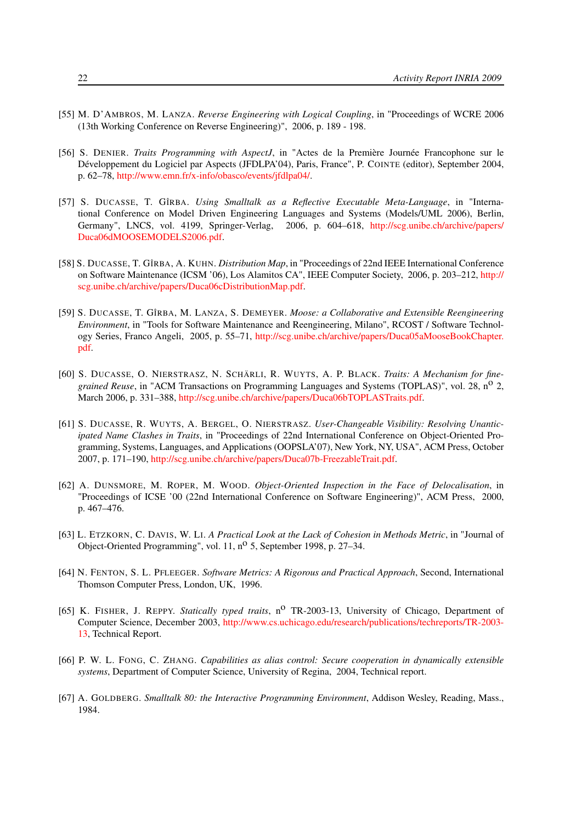- <span id="page-26-3"></span>[55] M. D'AMBROS, M. LANZA. *Reverse Engineering with Logical Coupling*, in "Proceedings of WCRE 2006 (13th Working Conference on Reverse Engineering)", 2006, p. 189 - 198.
- <span id="page-26-8"></span>[56] S. DENIER. *Traits Programming with AspectJ*, in "Actes de la Première Journée Francophone sur le Développement du Logiciel par Aspects (JFDLPA'04), Paris, France", P. COINTE (editor), September 2004, p. 62–78, [http://www.emn.fr/x-info/obasco/events/jfdlpa04/.](http://www.emn.fr/x-info/obasco/events/jfdlpa04/)
- <span id="page-26-1"></span>[57] S. DUCASSE, T. GÎRBA. *Using Smalltalk as a Reflective Executable Meta-Language*, in "International Conference on Model Driven Engineering Languages and Systems (Models/UML 2006), Berlin, Germany", LNCS, vol. 4199, Springer-Verlag, 2006, p. 604–618, [http://scg.unibe.ch/archive/papers/](http://scg.unibe.ch/archive/papers/Duca06dMOOSEMODELS2006.pdf) [Duca06dMOOSEMODELS2006.pdf.](http://scg.unibe.ch/archive/papers/Duca06dMOOSEMODELS2006.pdf)
- <span id="page-26-2"></span>[58] S. DUCASSE, T. GÎRBA, A. KUHN. *Distribution Map*, in "Proceedings of 22nd IEEE International Conference on Software Maintenance (ICSM '06), Los Alamitos CA", IEEE Computer Society, 2006, p. 203–212, [http://](http://scg.unibe.ch/archive/papers/Duca06cDistributionMap.pdf) [scg.unibe.ch/archive/papers/Duca06cDistributionMap.pdf.](http://scg.unibe.ch/archive/papers/Duca06cDistributionMap.pdf)
- <span id="page-26-0"></span>[59] S. DUCASSE, T. GÎRBA, M. LANZA, S. DEMEYER. *Moose: a Collaborative and Extensible Reengineering Environment*, in "Tools for Software Maintenance and Reengineering, Milano", RCOST / Software Technology Series, Franco Angeli, 2005, p. 55–71, [http://scg.unibe.ch/archive/papers/Duca05aMooseBookChapter.](http://scg.unibe.ch/archive/papers/Duca05aMooseBookChapter.pdf) [pdf.](http://scg.unibe.ch/archive/papers/Duca05aMooseBookChapter.pdf)
- <span id="page-26-7"></span>[60] S. DUCASSE, O. NIERSTRASZ, N. SCHÄRLI, R. WUYTS, A. P. BLACK. *Traits: A Mechanism for finegrained Reuse*, in "ACM Transactions on Programming Languages and Systems (TOPLAS)", vol. 28, n<sup>o</sup> 2, March 2006, p. 331–388, [http://scg.unibe.ch/archive/papers/Duca06bTOPLASTraits.pdf.](http://scg.unibe.ch/archive/papers/Duca06bTOPLASTraits.pdf)
- <span id="page-26-9"></span>[61] S. DUCASSE, R. WUYTS, A. BERGEL, O. NIERSTRASZ. *User-Changeable Visibility: Resolving Unanticipated Name Clashes in Traits*, in "Proceedings of 22nd International Conference on Object-Oriented Programming, Systems, Languages, and Applications (OOPSLA'07), New York, NY, USA", ACM Press, October 2007, p. 171–190, [http://scg.unibe.ch/archive/papers/Duca07b-FreezableTrait.pdf.](http://scg.unibe.ch/archive/papers/Duca07b-FreezableTrait.pdf)
- <span id="page-26-4"></span>[62] A. DUNSMORE, M. ROPER, M. WOOD. *Object-Oriented Inspection in the Face of Delocalisation*, in "Proceedings of ICSE '00 (22nd International Conference on Software Engineering)", ACM Press, 2000, p. 467–476.
- <span id="page-26-6"></span>[63] L. ETZKORN, C. DAVIS, W. LI. *A Practical Look at the Lack of Cohesion in Methods Metric*, in "Journal of Object-Oriented Programming", vol. 11, n<sup>o</sup> 5, September 1998, p. 27–34.
- <span id="page-26-5"></span>[64] N. FENTON, S. L. PFLEEGER. *Software Metrics: A Rigorous and Practical Approach*, Second, International Thomson Computer Press, London, UK, 1996.
- <span id="page-26-10"></span>[65] K. FISHER, J. REPPY. *Statically typed traits*, n<sup>o</sup> TR-2003-13, University of Chicago, Department of Computer Science, December 2003, [http://www.cs.uchicago.edu/research/publications/techreports/TR-2003-](http://www.cs.uchicago.edu/research/publications/techreports/TR-2003-13) [13,](http://www.cs.uchicago.edu/research/publications/techreports/TR-2003-13) Technical Report.
- <span id="page-26-12"></span>[66] P. W. L. FONG, C. ZHANG. *Capabilities as alias control: Secure cooperation in dynamically extensible systems*, Department of Computer Science, University of Regina, 2004, Technical report.
- <span id="page-26-11"></span>[67] A. GOLDBERG. *Smalltalk 80: the Interactive Programming Environment*, Addison Wesley, Reading, Mass., 1984.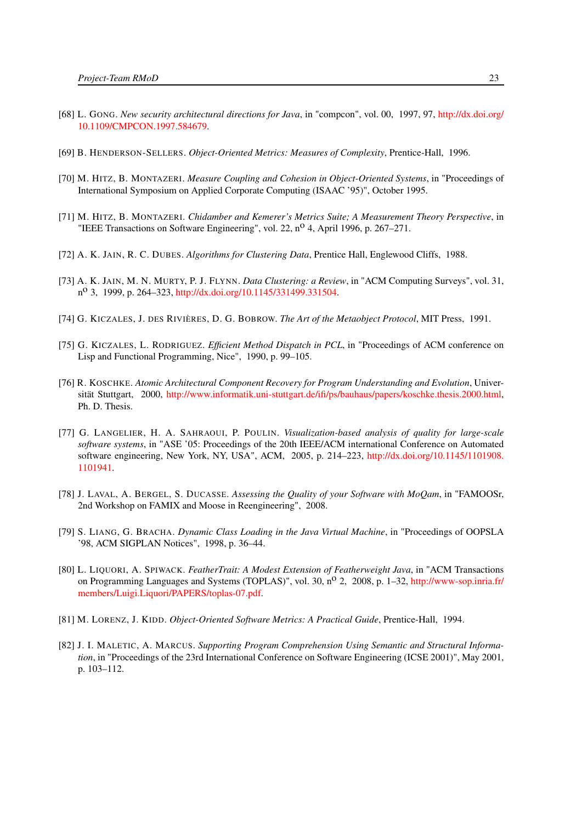- <span id="page-27-13"></span>[68] L. GONG. *New security architectural directions for Java*, in "compcon", vol. 00, 1997, 97, [http://dx.doi.org/](http://dx.doi.org/10.1109/CMPCON.1997.584679) [10.1109/CMPCON.1997.584679.](http://dx.doi.org/10.1109/CMPCON.1997.584679)
- <span id="page-27-7"></span>[69] B. HENDERSON-SELLERS. *Object-Oriented Metrics: Measures of Complexity*, Prentice-Hall, 1996.
- <span id="page-27-9"></span>[70] M. HITZ, B. MONTAZERI. *Measure Coupling and Cohesion in Object-Oriented Systems*, in "Proceedings of International Symposium on Applied Corporate Computing (ISAAC '95)", October 1995.
- <span id="page-27-8"></span>[71] M. HITZ, B. MONTAZERI. *Chidamber and Kemerer's Metrics Suite; A Measurement Theory Perspective*, in "IEEE Transactions on Software Engineering", vol. 22,  $n^0$  4, April 1996, p. 267–271.
- <span id="page-27-4"></span>[72] A. K. JAIN, R. C. DUBES. *Algorithms for Clustering Data*, Prentice Hall, Englewood Cliffs, 1988.
- <span id="page-27-5"></span>[73] A. K. JAIN, M. N. MURTY, P. J. FLYNN. *Data Clustering: a Review*, in "ACM Computing Surveys", vol. 31, n o 3, 1999, p. 264–323, [http://dx.doi.org/10.1145/331499.331504.](http://dx.doi.org/10.1145/331499.331504)
- <span id="page-27-14"></span>[74] G. KICZALES, J. DES RIVIÈRES, D. G. BOBROW. *The Art of the Metaobject Protocol*, MIT Press, 1991.
- <span id="page-27-11"></span>[75] G. KICZALES, L. RODRIGUEZ. *Efficient Method Dispatch in PCL*, in "Proceedings of ACM conference on Lisp and Functional Programming, Nice", 1990, p. 99–105.
- <span id="page-27-3"></span>[76] R. KOSCHKE. *Atomic Architectural Component Recovery for Program Understanding and Evolution*, Universität Stuttgart, 2000, [http://www.informatik.uni-stuttgart.de/ifi/ps/bauhaus/papers/koschke.thesis.2000.html,](http://www.informatik.uni-stuttgart.de/ifi/ps/bauhaus/papers/koschke.thesis.2000.html) Ph. D. Thesis.
- <span id="page-27-1"></span>[77] G. LANGELIER, H. A. SAHRAOUI, P. POULIN. *Visualization-based analysis of quality for large-scale software systems*, in "ASE '05: Proceedings of the 20th IEEE/ACM international Conference on Automated software engineering, New York, NY, USA", ACM, 2005, p. 214–223, [http://dx.doi.org/10.1145/1101908.](http://dx.doi.org/10.1145/1101908.1101941) [1101941.](http://dx.doi.org/10.1145/1101908.1101941)
- <span id="page-27-2"></span>[78] J. LAVAL, A. BERGEL, S. DUCASSE. *Assessing the Quality of your Software with MoQam*, in "FAMOOSr, 2nd Workshop on FAMIX and Moose in Reengineering", 2008.
- <span id="page-27-12"></span>[79] S. LIANG, G. BRACHA. *Dynamic Class Loading in the Java Virtual Machine*, in "Proceedings of OOPSLA '98, ACM SIGPLAN Notices", 1998, p. 36–44.
- <span id="page-27-10"></span>[80] L. LIQUORI, A. SPIWACK. *FeatherTrait: A Modest Extension of Featherweight Java*, in "ACM Transactions on Programming Languages and Systems (TOPLAS)", vol. 30, n<sup>o</sup> 2, 2008, p. 1-32, [http://www-sop.inria.fr/](http://www-sop.inria.fr/members/Luigi.Liquori/PAPERS/toplas-07.pdf) [members/Luigi.Liquori/PAPERS/toplas-07.pdf.](http://www-sop.inria.fr/members/Luigi.Liquori/PAPERS/toplas-07.pdf)
- <span id="page-27-6"></span>[81] M. LORENZ, J. KIDD. *Object-Oriented Software Metrics: A Practical Guide*, Prentice-Hall, 1994.
- <span id="page-27-0"></span>[82] J. I. MALETIC, A. MARCUS. *Supporting Program Comprehension Using Semantic and Structural Information*, in "Proceedings of the 23rd International Conference on Software Engineering (ICSE 2001)", May 2001, p. 103–112.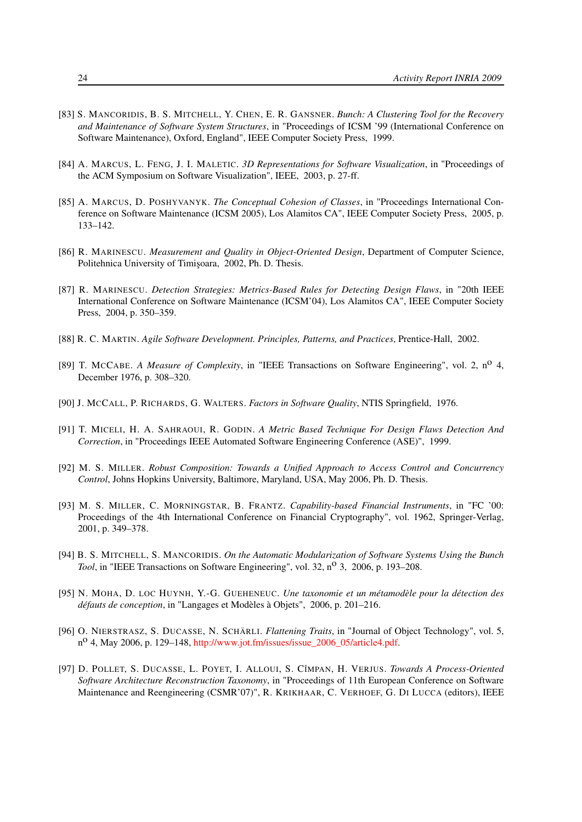- <span id="page-28-3"></span>[83] S. MANCORIDIS, B. S. MITCHELL, Y. CHEN, E. R. GANSNER. *Bunch: A Clustering Tool for the Recovery and Maintenance of Software System Structures*, in "Proceedings of ICSM '99 (International Conference on Software Maintenance), Oxford, England", IEEE Computer Society Press, 1999.
- <span id="page-28-1"></span>[84] A. MARCUS, L. FENG, J. I. MALETIC. *3D Representations for Software Visualization*, in "Proceedings of the ACM Symposium on Software Visualization", IEEE, 2003, p. 27-ff.
- <span id="page-28-6"></span>[85] A. MARCUS, D. POSHYVANYK. *The Conceptual Cohesion of Classes*, in "Proceedings International Conference on Software Maintenance (ICSM 2005), Los Alamitos CA", IEEE Computer Society Press, 2005, p. 133–142.
- <span id="page-28-10"></span>[86] R. MARINESCU. *Measurement and Quality in Object-Oriented Design*, Department of Computer Science, Politehnica University of Timișoara, 2002, Ph. D. Thesis.
- <span id="page-28-11"></span>[87] R. MARINESCU. *Detection Strategies: Metrics-Based Rules for Detecting Design Flaws*, in "20th IEEE International Conference on Software Maintenance (ICSM'04), Los Alamitos CA", IEEE Computer Society Press, 2004, p. 350–359.
- <span id="page-28-2"></span>[88] R. C. MARTIN. *Agile Software Development. Principles, Patterns, and Practices*, Prentice-Hall, 2002.
- <span id="page-28-5"></span>[89] T. MCCABE. *A Measure of Complexity*, in "IEEE Transactions on Software Engineering", vol. 2, no 4, December 1976, p. 308–320.
- <span id="page-28-7"></span>[90] J. MCCALL, P. RICHARDS, G. WALTERS. *Factors in Software Quality*, NTIS Springfield, 1976.
- <span id="page-28-8"></span>[91] T. MICELI, H. A. SAHRAOUI, R. GODIN. *A Metric Based Technique For Design Flaws Detection And Correction*, in "Proceedings IEEE Automated Software Engineering Conference (ASE)", 1999.
- <span id="page-28-14"></span>[92] M. S. MILLER. *Robust Composition: Towards a Unified Approach to Access Control and Concurrency Control*, Johns Hopkins University, Baltimore, Maryland, USA, May 2006, Ph. D. Thesis.
- <span id="page-28-13"></span>[93] M. S. MILLER, C. MORNINGSTAR, B. FRANTZ. *Capability-based Financial Instruments*, in "FC '00: Proceedings of the 4th International Conference on Financial Cryptography", vol. 1962, Springer-Verlag, 2001, p. 349–378.
- <span id="page-28-4"></span>[94] B. S. MITCHELL, S. MANCORIDIS. *On the Automatic Modularization of Software Systems Using the Bunch Tool*, in "IEEE Transactions on Software Engineering", vol. 32, n<sup>o</sup> 3, 2006, p. 193–208.
- <span id="page-28-9"></span>[95] N. MOHA, D. LOC HUYNH, Y.-G. GUEHENEUC. *Une taxonomie et un métamodèle pour la détection des défauts de conception*, in "Langages et Modèles à Objets", 2006, p. 201–216.
- <span id="page-28-12"></span>[96] O. NIERSTRASZ, S. DUCASSE, N. SCHÄRLI. *Flattening Traits*, in "Journal of Object Technology", vol. 5, n<sup>o</sup> 4, May 2006, p. 129–148, [http://www.jot.fm/issues/issue\\_2006\\_05/article4.pdf.](http://www.jot.fm/issues/issue_2006_05/article4.pdf)
- <span id="page-28-0"></span>[97] D. POLLET, S. DUCASSE, L. POYET, I. ALLOUI, S. CÎMPAN, H. VERJUS. *Towards A Process-Oriented Software Architecture Reconstruction Taxonomy*, in "Proceedings of 11th European Conference on Software Maintenance and Reengineering (CSMR'07)", R. KRIKHAAR, C. VERHOEF, G. DI LUCCA (editors), IEEE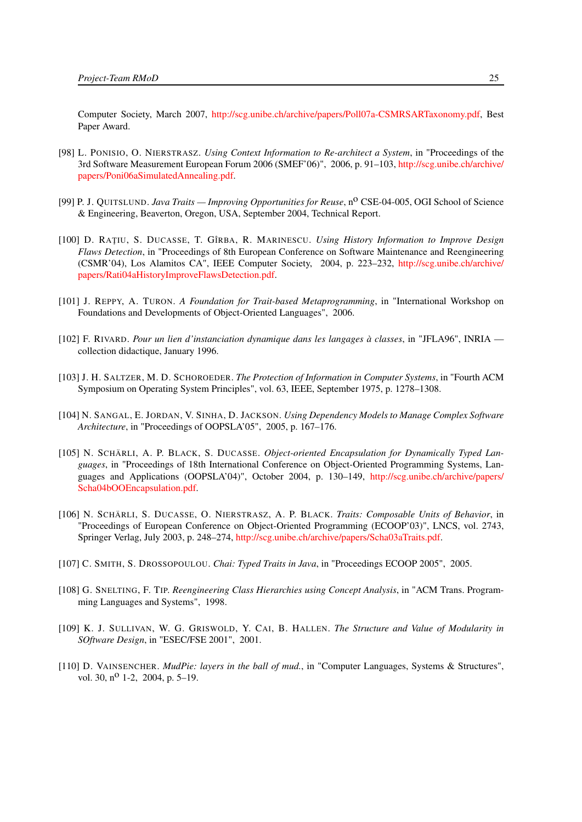Computer Society, March 2007, [http://scg.unibe.ch/archive/papers/Poll07a-CSMRSARTaxonomy.pdf,](http://scg.unibe.ch/archive/papers/Poll07a-CSMRSARTaxonomy.pdf) Best Paper Award.

- <span id="page-29-4"></span>[98] L. PONISIO, O. NIERSTRASZ. *Using Context Information to Re-architect a System*, in "Proceedings of the 3rd Software Measurement European Forum 2006 (SMEF'06)", 2006, p. 91–103, [http://scg.unibe.ch/archive/](http://scg.unibe.ch/archive/papers/Poni06aSimulatedAnnealing.pdf) [papers/Poni06aSimulatedAnnealing.pdf.](http://scg.unibe.ch/archive/papers/Poni06aSimulatedAnnealing.pdf)
- <span id="page-29-7"></span>[99] P. J. QUITSLUND. *Java Traits — Improving Opportunities for Reuse*, n<sup>o</sup> CSE-04-005, OGI School of Science & Engineering, Beaverton, Oregon, USA, September 2004, Technical Report.
- <span id="page-29-5"></span>[100] D. RAȚIU, S. DUCASSE, T. GÎRBA, R. MARINESCU. *Using History Information to Improve Design Flaws Detection*, in "Proceedings of 8th European Conference on Software Maintenance and Reengineering (CSMR'04), Los Alamitos CA", IEEE Computer Society, 2004, p. 223–232, [http://scg.unibe.ch/archive/](http://scg.unibe.ch/archive/papers/Rati04aHistoryImproveFlawsDetection.pdf) [papers/Rati04aHistoryImproveFlawsDetection.pdf.](http://scg.unibe.ch/archive/papers/Rati04aHistoryImproveFlawsDetection.pdf)
- <span id="page-29-9"></span>[101] J. REPPY, A. TURON. *A Foundation for Trait-based Metaprogramming*, in "International Workshop on Foundations and Developments of Object-Oriented Languages", 2006.
- <span id="page-29-10"></span>[102] F. RIVARD. *Pour un lien d'instanciation dynamique dans les langages à classes*, in "JFLA96", INRIA collection didactique, January 1996.
- <span id="page-29-11"></span>[103] J. H. SALTZER, M. D. SCHOROEDER. *The Protection of Information in Computer Systems*, in "Fourth ACM Symposium on Operating System Principles", vol. 63, IEEE, September 1975, p. 1278–1308.
- <span id="page-29-2"></span>[104] N. SANGAL, E. JORDAN, V. SINHA, D. JACKSON. *Using Dependency Models to Manage Complex Software Architecture*, in "Proceedings of OOPSLA'05", 2005, p. 167–176.
- <span id="page-29-12"></span>[105] N. SCHÄRLI, A. P. BLACK, S. DUCASSE. Object-oriented Encapsulation for Dynamically Typed Lan*guages*, in "Proceedings of 18th International Conference on Object-Oriented Programming Systems, Languages and Applications (OOPSLA'04)", October 2004, p. 130–149, [http://scg.unibe.ch/archive/papers/](http://scg.unibe.ch/archive/papers/Scha04bOOEncapsulation.pdf) [Scha04bOOEncapsulation.pdf.](http://scg.unibe.ch/archive/papers/Scha04bOOEncapsulation.pdf)
- <span id="page-29-6"></span>[106] N. SCHÄRLI, S. DUCASSE, O. NIERSTRASZ, A. P. BLACK. *Traits: Composable Units of Behavior*, in "Proceedings of European Conference on Object-Oriented Programming (ECOOP'03)", LNCS, vol. 2743, Springer Verlag, July 2003, p. 248–274, [http://scg.unibe.ch/archive/papers/Scha03aTraits.pdf.](http://scg.unibe.ch/archive/papers/Scha03aTraits.pdf)
- <span id="page-29-8"></span>[107] C. SMITH, S. DROSSOPOULOU. *Chai: Typed Traits in Java*, in "Proceedings ECOOP 2005", 2005.
- <span id="page-29-3"></span>[108] G. SNELTING, F. TIP. *Reengineering Class Hierarchies using Concept Analysis*, in "ACM Trans. Programming Languages and Systems", 1998.
- <span id="page-29-1"></span>[109] K. J. SULLIVAN, W. G. GRISWOLD, Y. CAI, B. HALLEN. *The Structure and Value of Modularity in SOftware Design*, in "ESEC/FSE 2001", 2001.
- <span id="page-29-0"></span>[110] D. VAINSENCHER. *MudPie: layers in the ball of mud.*, in "Computer Languages, Systems & Structures", vol. 30,  $n^0$  1-2, 2004, p. 5–19.